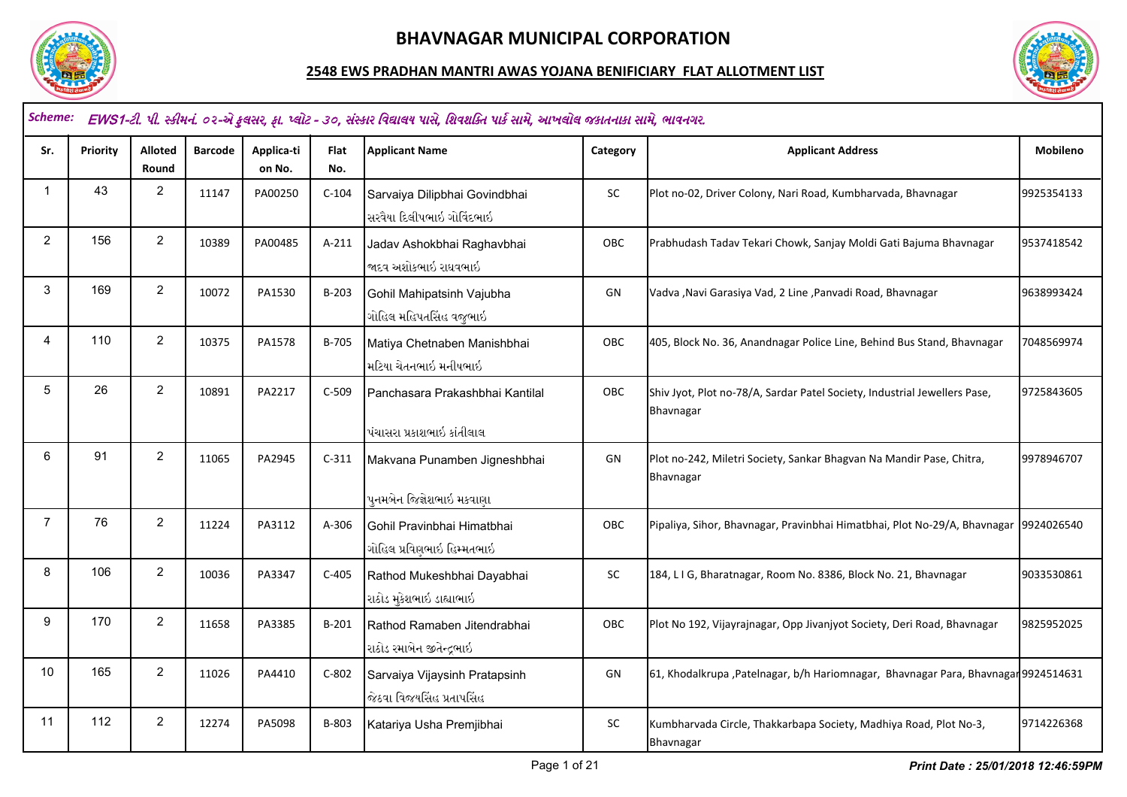



#### *Scheme:*  EWS1-ટી. પી. સ્કીમનં. ૦૨-એ ફુલસર, ફા. પ્લોટ - ૩૦, સંસ્કાર વિદ્યાલય પાસે, શિવશક્તિ પાર્ક સામે, આખલોલ જકાતનાકા સામે, ભાવનગર.

| Sr.            | Priority | <b>Alloted</b><br>Round | <b>Barcode</b> | Applica-ti<br>on No. | Flat<br>No. | <b>Applicant Name</b>                                         | Category   | <b>Applicant Address</b>                                                               | Mobileno   |
|----------------|----------|-------------------------|----------------|----------------------|-------------|---------------------------------------------------------------|------------|----------------------------------------------------------------------------------------|------------|
| $\overline{1}$ | 43       | $\overline{2}$          | 11147          | PA00250              | $C-104$     | Sarvaiya Dilipbhai Govindbhai<br>સરવૈયા દિલીપભાઇ ગોવિંદભાઇ    | <b>SC</b>  | Plot no-02, Driver Colony, Nari Road, Kumbharvada, Bhavnagar                           | 9925354133 |
| 2              | 156      | $\overline{2}$          | 10389          | PA00485              | A-211       | Jadav Ashokbhai Raghavbhai<br>જાદવ અશોકભાઇ રાઘવભાઇ            | <b>OBC</b> | Prabhudash Tadav Tekari Chowk, Sanjay Moldi Gati Bajuma Bhavnagar                      | 9537418542 |
| 3              | 169      | $\overline{2}$          | 10072          | PA1530               | $B-203$     | Gohil Mahipatsinh Vajubha<br>ગોહિલ મહિપતસિંહ વજુભાઇ           | GN         | Vadva , Navi Garasiya Vad, 2 Line , Panvadi Road, Bhavnagar                            | 9638993424 |
| $\overline{4}$ | 110      | $\overline{2}$          | 10375          | PA1578               | B-705       | Matiya Chetnaben Manishbhai<br>મટિયા ચેતનભાઇ મનીષભાઇ          | <b>OBC</b> | 405, Block No. 36, Anandnagar Police Line, Behind Bus Stand, Bhavnagar                 | 7048569974 |
| 5              | 26       | $\overline{2}$          | 10891          | PA2217               | $C-509$     | Panchasara Prakashbhai Kantilal<br>પંચાસરા પ્રકાશભાઇ કાંતીલાલ | <b>OBC</b> | Shiv Jyot, Plot no-78/A, Sardar Patel Society, Industrial Jewellers Pase,<br>Bhavnagar | 9725843605 |
| 6              | 91       | $\overline{2}$          | 11065          | PA2945               | $C-311$     | Makvana Punamben Jigneshbhai<br>પુનમબેન જિજ્ઞેશભાઇ મકવાણા     | GN         | Plot no-242, Miletri Society, Sankar Bhagvan Na Mandir Pase, Chitra,<br>Bhavnagar      | 9978946707 |
| $\overline{7}$ | 76       | $\overline{2}$          | 11224          | PA3112               | A-306       | İGohil Pravinbhai Himatbhai<br>ગોહિલ પ્રવિણભાઇ હિમ્મતભાઇ      | <b>OBC</b> | Pipaliya, Sihor, Bhavnagar, Pravinbhai Himatbhai, Plot No-29/A, Bhavnagar   9924026540 |            |
| 8              | 106      | $\overline{2}$          | 10036          | PA3347               | $C-405$     | Rathod Mukeshbhai Dayabhai<br>રાઠોડ મુકેશભાઇ ડાહ્યાભાઇ        | SC         | 184, LIG, Bharatnagar, Room No. 8386, Block No. 21, Bhavnagar                          | 9033530861 |
| 9              | 170      | $\overline{2}$          | 11658          | PA3385               | B-201       | Rathod Ramaben Jitendrabhai<br>રાઠોડ રમાબેન જીતેન્દ્રભાઇ      | <b>OBC</b> | Plot No 192, Vijayrajnagar, Opp Jivanjyot Society, Deri Road, Bhavnagar                | 9825952025 |
| 10             | 165      | $\overline{2}$          | 11026          | PA4410               | $C-802$     | Sarvaiya Vijaysinh Pratapsinh<br>જિઠવા વિજયસિંહ પ્રતાપસિંહ    | GN         | 61, Khodalkrupa , Patelnagar, b/h Hariomnagar, Bhavnagar Para, Bhavnagan 9924514631    |            |
| 11             | 112      | $\overline{2}$          | 12274          | PA5098               | B-803       | Katariya Usha Premjibhai                                      | SC         | Kumbharvada Circle, Thakkarbapa Society, Madhiya Road, Plot No-3,<br>Bhavnagar         | 9714226368 |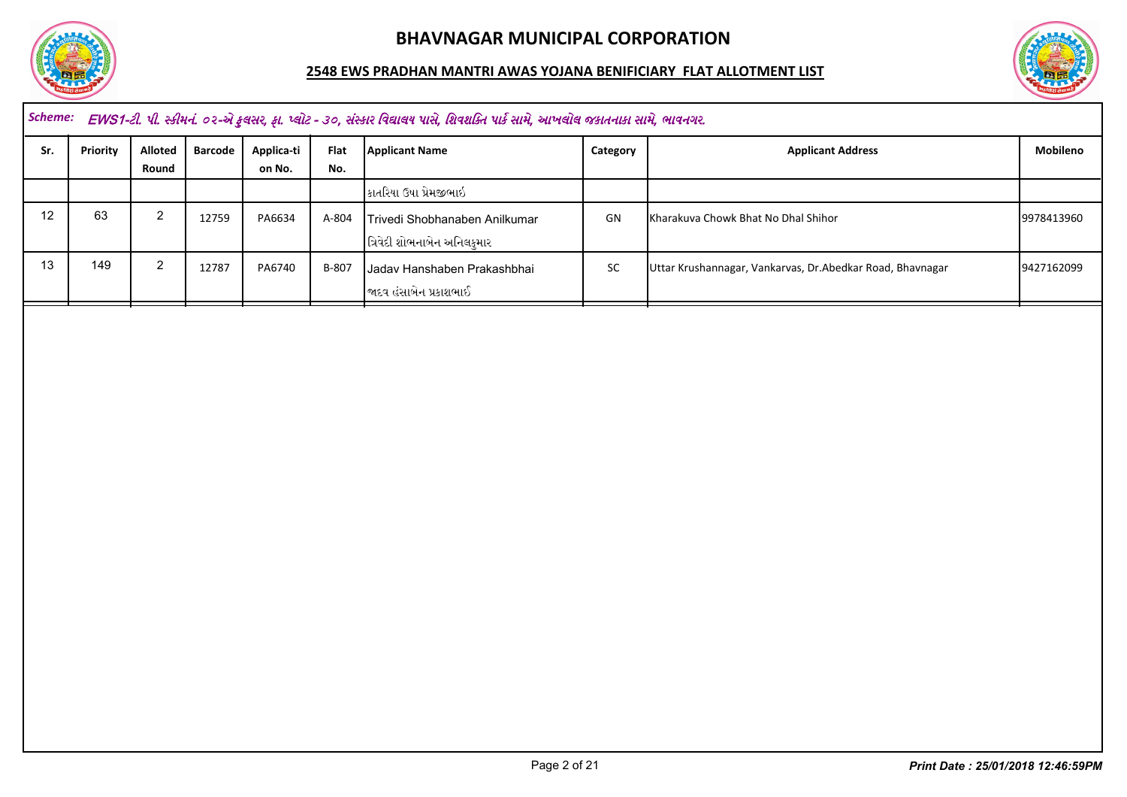

# **BHAVNAGAR MUNICIPAL CORPORATION**

# **2548 EWS PRADHAN MANTRI AWAS YOJANA BENIFICIARY FLAT ALLOTMENT LIST**



#### *Scheme:*  EWS1-ટી. પી. સ્કીમનં. ૦૨-એ ફુલસર, ફા. પ્લોટ - ૩૦, સંસ્કાર વિદ્યાલય પાસે, શિવશક્તિ પાર્ક સામે, આખલોલ જકાતનાકા સામે, ભાવનગર.

| Sr.               | Priority | Alloted | Barcode | Applica-ti | Flat  | Applicant Name                | Category | <b>Applicant Address</b>                                  | Mobileno   |
|-------------------|----------|---------|---------|------------|-------|-------------------------------|----------|-----------------------------------------------------------|------------|
|                   |          | Round   |         | on No.     | No.   |                               |          |                                                           |            |
|                   |          |         |         |            |       | ∣કાતરિયા ઉષા પ્રેમજીભાઇ       |          |                                                           |            |
| $12 \overline{ }$ | 63       | ົ<br>∼  | 12759   | PA6634     | A-804 | Trivedi Shobhanaben Anilkumar | GN       | Kharakuva Chowk Bhat No Dhal Shihor                       | 9978413960 |
|                   |          |         |         |            |       | ત્રિવેદી શોભનાબેન અનિલકમાર_   |          |                                                           |            |
| 13                | 149      | ◠       | 12787   | PA6740     | B-807 | Jadav Hanshaben Prakashbhai   | SC       | Uttar Krushannagar, Vankarvas, Dr.Abedkar Road, Bhavnagar | 9427162099 |
|                   |          |         |         |            |       | ∣જાદવ હંસાબેન પ્રકાશભાઈ       |          |                                                           |            |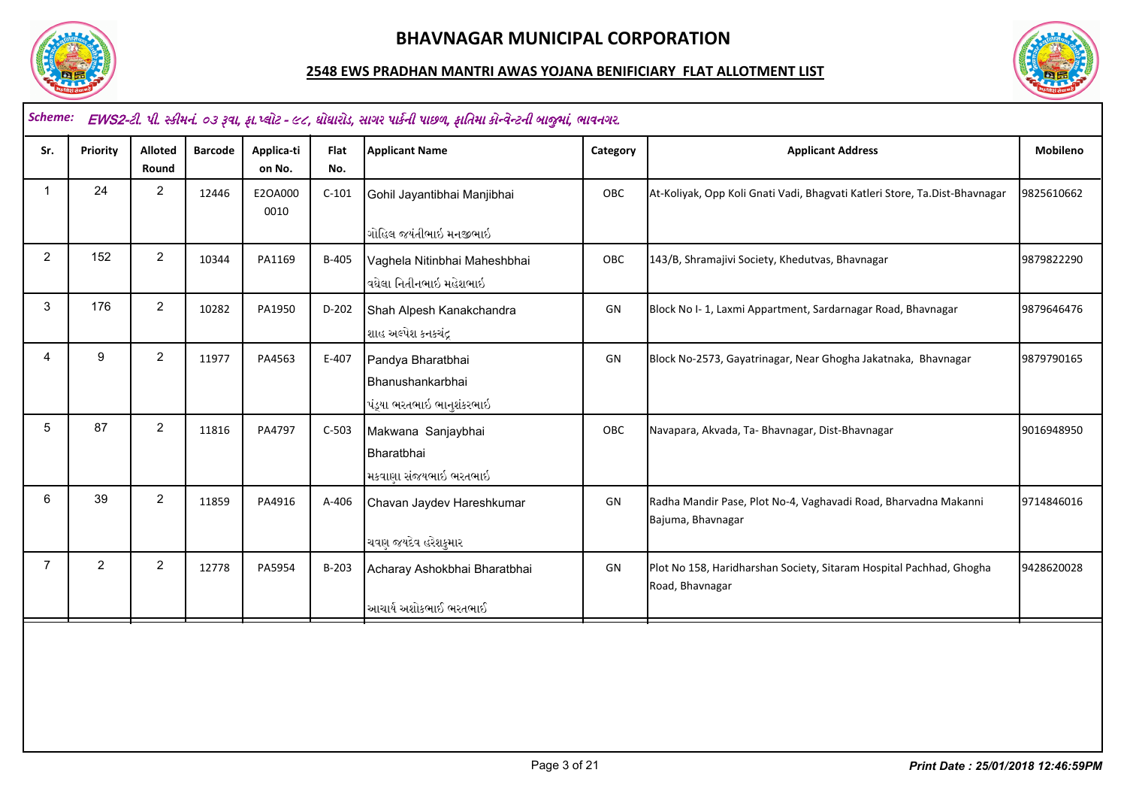



#### Barcode | Applica-ti | Flat |Applicant Name Category | Applicant Address Mobileno **No. Applica-ti on No.** *Scheme:*  **Sr.** EWS2-ટી. પી. સ્કીમનં. ૦૩ રૂવા, ફા.પ્લોટ - ૯૮, ઘોઘારોડ, સાગર પાર્કની પાછળ, ફાતિમા કોન્વેન્ટની બાજુમાં, ભાવનગર. **Alloted Round Priority** 12446 E2OA000 0010 1 24 24 26 20000 C-101 Gohil Jayantibhai Manjibhai DBC At-Koliyak, Opp Koli Gnati Vadi, Bhagvati Katleri Store, Ta.Dist-Bhavnagar 9825610662 ગોહિલ જયંતીભાઇ મનજીભાઇ 2 | 152 | 2 | 10344 | PA1169 | B-405 | Vaghela Nitinbhai Maheshbhai | OBC | 143/B, Shramajivi Society, Khedutvas, Bhavnagar | 9879822290 .<br>વઘેલા નિતીનભાઇ મહેશભાઇ 3 176 | 2 | 10282 | PA1950 | D-202 | Shah Alpesh Kanakchandra | GN | Block No I- 1, Laxmi Appartment, Sardarnagar Road, Bhavnagar | 9879646476 શાહ અલ્પેશ કનકચંદ્ર 11977 PA4563 E-407 Pandya Bharatbhai GN Bhanushankarbhai 4 9 | 2 | 11977 | PA4563 | E-407 | Pandya Bharatbhai | GN | Block No-2573, Gayatrinagar, Near Ghogha Jakatnaka, Bhavnagar | 9879790165 પંડ્યા ભરતભાઇ ભાનુશંકરભાઇ 11816 PA4797 C-503 Makwana Sanjaybhai OBC Bharatbhai 5 87 2 11816 PA4797 C-503 Makwana Saniavbhai 6 0BC Navapara, Akvada, Ta- Bhavnagar, Dist-Bhavnagar 9016948950 મકવાણા સંજયભાઇ ભરતભાઇ 6 | 39 | 2 | 11859 | PA4916 | A-406 | Chavan Jaydev Hareshkumar | GN | Radha Mandir Pase, Plot No-4, Vaghavadi Road, Bharvadna Makanni | 9714846016 Bajuma, Bhavnagar ચવણ જયદેવ હરેશકુમાર 7 | 2 | 2 | 12778 | PA5954 | B-203 Acharay Ashokbhai Bharatbhai | GN | Plot No 158, Haridharshan Society, Sitaram Hospital Pachhad, Ghogha | 9428620028 Road, Bhavnagar આચાર્ય અશોકભાઈ ભરતભાઈ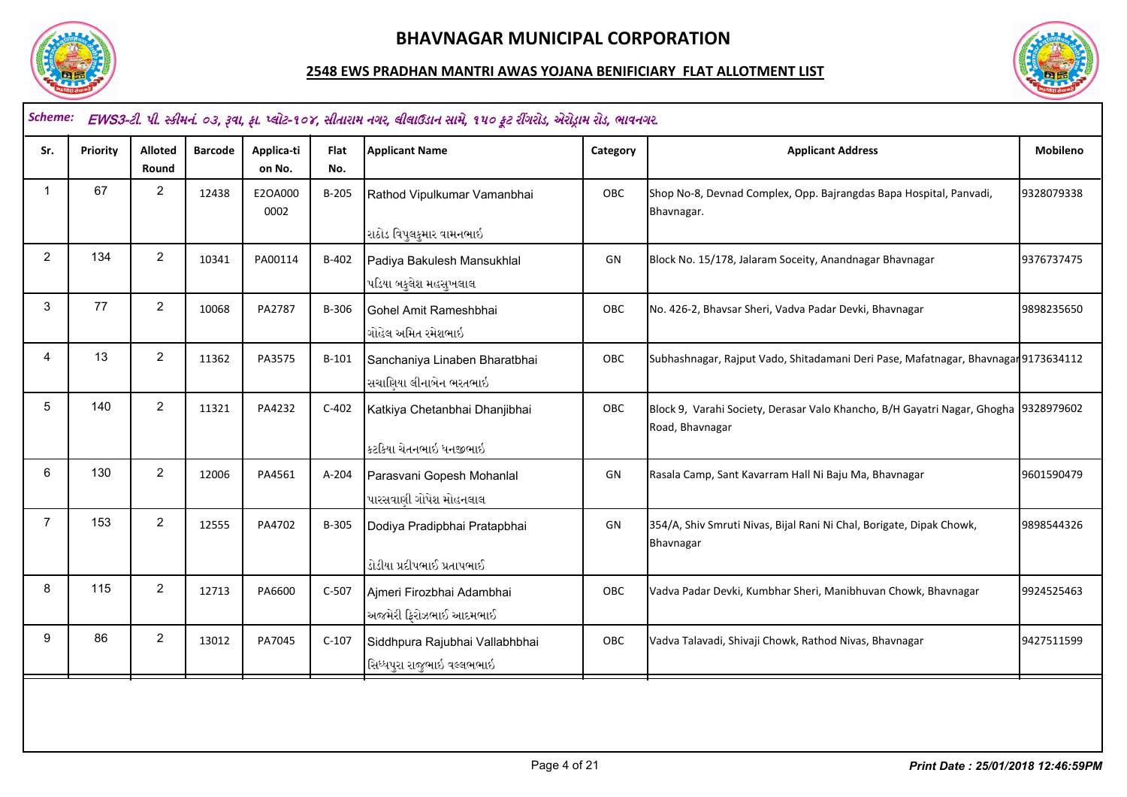



#### *Scheme:*  EWS3-ટી. પી. સ્કીમનં. ૦૩, રૂવા, ફા. પ્લોટ-૧૦૪, સીતારામ નગર, લીલાઉડાન સામે, ૧૫૦ ફૂટ રીંગરોડ, એરોડ્રામ રોડ, ભાવનગર.

| Sr. | Priority | Alloted<br>Round | <b>Barcode</b> | Applica-ti<br>on No. | <b>Flat</b><br>No. | <b>Applicant Name</b>                                        | Category   | <b>Applicant Address</b>                                                                                 | <b>Mobileno</b> |
|-----|----------|------------------|----------------|----------------------|--------------------|--------------------------------------------------------------|------------|----------------------------------------------------------------------------------------------------------|-----------------|
|     | 67       | $\overline{2}$   | 12438          | E2OA000<br>0002      | $B-205$            | Rathod Vipulkumar Vamanbhai<br>રાઠોડ વિપુલકુમાર વામનભાઇ      | <b>OBC</b> | Shop No-8, Devnad Complex, Opp. Bajrangdas Bapa Hospital, Panvadi,<br>Bhavnagar.                         | 9328079338      |
| 2   | 134      | $\overline{2}$   | 10341          | PA00114              | B-402              | Padiya Bakulesh Mansukhlal<br>પડિયા બકુલેશ મહસુખલાલ          | GN         | Block No. 15/178, Jalaram Soceity, Anandnagar Bhavnagar                                                  | 9376737475      |
| 3   | 77       | $\overline{2}$   | 10068          | PA2787               | B-306              | Gohel Amit Rameshbhai<br>ગોહેલ અમિત રમેશભાઇ                  | <b>OBC</b> | No. 426-2, Bhavsar Sheri, Vadva Padar Devki, Bhavnagar                                                   | 9898235650      |
| 4   | 13       | 2                | 11362          | PA3575               | $B-101$            | Sanchaniya Linaben Bharatbhai<br>સચાણિયા લીનાબેન ભરતભાઇ      | <b>OBC</b> | Subhashnagar, Rajput Vado, Shitadamani Deri Pase, Mafatnagar, Bhavnagar 9173634112                       |                 |
| 5   | 140      | 2                | 11321          | PA4232               | $C-402$            | Katkiya Chetanbhai Dhanjibhai<br>કટકિયા ચેતનભાઇ ધનજીભાઇ      | <b>OBC</b> | Block 9, Varahi Society, Derasar Valo Khancho, B/H Gayatri Nagar, Ghogha (9328979602)<br>Road, Bhavnagar |                 |
| 6   | 130      | $\overline{2}$   | 12006          | PA4561               | A-204              | Parasvani Gopesh Mohanlal<br>પારસવાણી ગોપેશ મોહનલાલ          | GN         | Rasala Camp, Sant Kavarram Hall Ni Baju Ma, Bhavnagar                                                    | 9601590479      |
| 7   | 153      | 2                | 12555          | PA4702               | B-305              | Dodiya Pradipbhai Pratapbhai<br>ડોડીયા પ્રદીપભાઈ પ્રતાપભાઈ   | GN         | 354/A, Shiv Smruti Nivas, Bijal Rani Ni Chal, Borigate, Dipak Chowk,<br>Bhavnagar                        | 9898544326      |
| 8   | 115      | 2                | 12713          | PA6600               | $C-507$            | Ajmeri Firozbhai Adambhai<br>અજમેરી કિરોઝભાઈ આદમભાઈ          | OBC        | Vadva Padar Devki, Kumbhar Sheri, Manibhuvan Chowk, Bhavnagar                                            | 9924525463      |
| 9   | 86       | $\overline{2}$   | 13012          | PA7045               | $C-107$            | Siddhpura Rajubhai Vallabhbhai<br>સિધ્ધપુરા રાજુભાઇ વલ્લભભાઇ | OBC        | Vadva Talavadi, Shivaji Chowk, Rathod Nivas, Bhavnagar                                                   | 9427511599      |
|     |          |                  |                |                      |                    |                                                              |            |                                                                                                          |                 |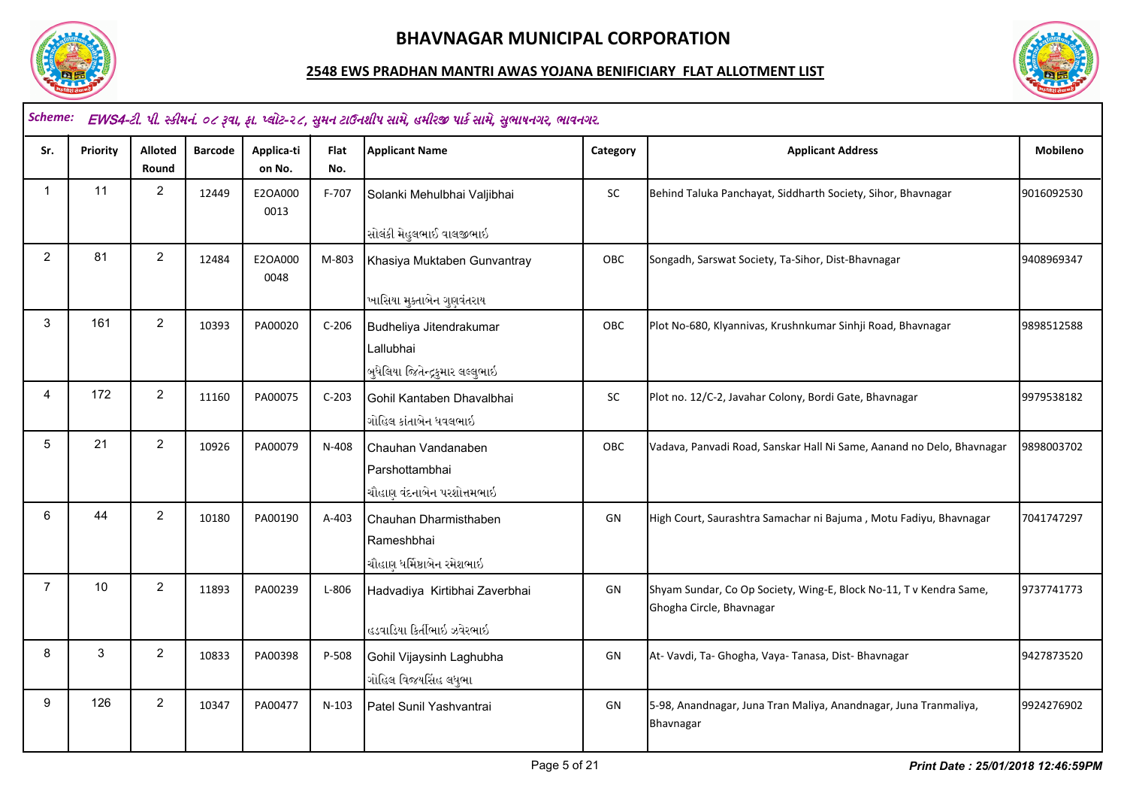

*Scheme:* 

#### **2548 EWS PRADHAN MANTRI AWAS YOJANA BENIFICIARY FLAT ALLOTMENT LIST**



#### Barcode | Applica-ti | Flat |Applicant Name Category | Applicant Address Mobileno **No. Applica-ti on No. Sr.** EWS4-ટી. પી. સ્કીમનં. ૦૮ રૂવા, ફા. પ્લોટ-૨૮, સુમન ટાઉનશીપ સામે, હમીરજી પાર્ક સામે, સુભાષનગર, ભાવનગર. **Alloted Round Priority** 12449 E2OA000 0013 1 | 11 | 2 | 12449 | E2OA000 | F-707 | Solanki Mehulbhai Valjibhai | SC | Behind Taluka Panchayat, Siddharth Society, Sihor, Bhavnagar | 9016092530 સોલંકી મેહુલભાઈ વાલજીભાઇ 12484 E2OA000 0048 2 81 2 12484 E20A000 M-803 Khasiya Muktaben Gunvantray OBC Songadh, Sarswat Society, Ta-Sihor, Dist-Bhavnagar 9408969347 ખાસિયા મુક્તાબેન ગુણવંતરાય 10393 | PA00020 | C-206 | Budheliya Jitendrakumar | OBC Lallubhai 3 161 2 10393 PA00020 C-206 Budheliya Jitendrakumar 1 OBC Plot No-680, Klyannivas, Krushnkumar Sinhii Road, Bhavnagar 9898512588 બુધેલિયા જિતેન્દ્રકુમાર લલ્લુભાઇ 4 | 172 | 2 | 11160 | PA00075 | C-203 | Gohil Kantaben Dhavalbhai New SC | Plot no. 12/C-2, Javahar Colony, Bordi Gate, Bhavnagar | 9979538182 ગોહિલ કાંતાબેન ધવલભાઇ 10926 | PA00079 | N-408 | Chauhan Vandanaben | OBC Parshottambhai 5 21 21 2 10926 PA00079 N-408 Chauhan Vandanaben 1989 Vadava, Panvadi Road, Sanskar Hall Ni Same, Aanand no Delo, Bhavnagar 9898003702 ચૌહાણ વંદનાબેન પરશોત્તમભાઇ 10180 PA00190 A-403 Chauhan Dharmisthaben GN Rameshbhai 6 44 2 10180 RAOO190 A-403 Chauhan Dharmisthaben 8 | GN High Court, Saurashtra Samachar ni Bajuma , Motu Fadiyu, Bhavnagar 7041747297 ચૌહાણ ધર્મિષ્ઠાબેન રમેશભાઇ 7 | 10 | 2 | 11893 | PA00239 | L-806 | Hadvadiya Kirtibhai Zaverbhai | GN | Shyam Sundar, Co Op Society, Wing-E, Block No-11, T v Kendra Same, | 9737741773 Ghogha Circle, Bhavnagar હડવાડિયા કિર્તીભાઈ ઝવેરભાઈ 8 3 2 10833 PA00398 P-508 Gohil Vijaysinh Laghubha GN At- Vavdi, Ta- Ghogha, Vaya- Tanasa, Dist- Bhavnagar 9427873520 ગોહિલ વિજયસિંહ લધુભા 9 | 126 | 2 | 10347 | PA00477 | N-103 | Patel Sunil Yashvantrai Musical GN | 5-98, Anandnagar, Juna Tran Maliya, Anandnagar, Juna Tranmaliya, | 9924276902 Bhavnagar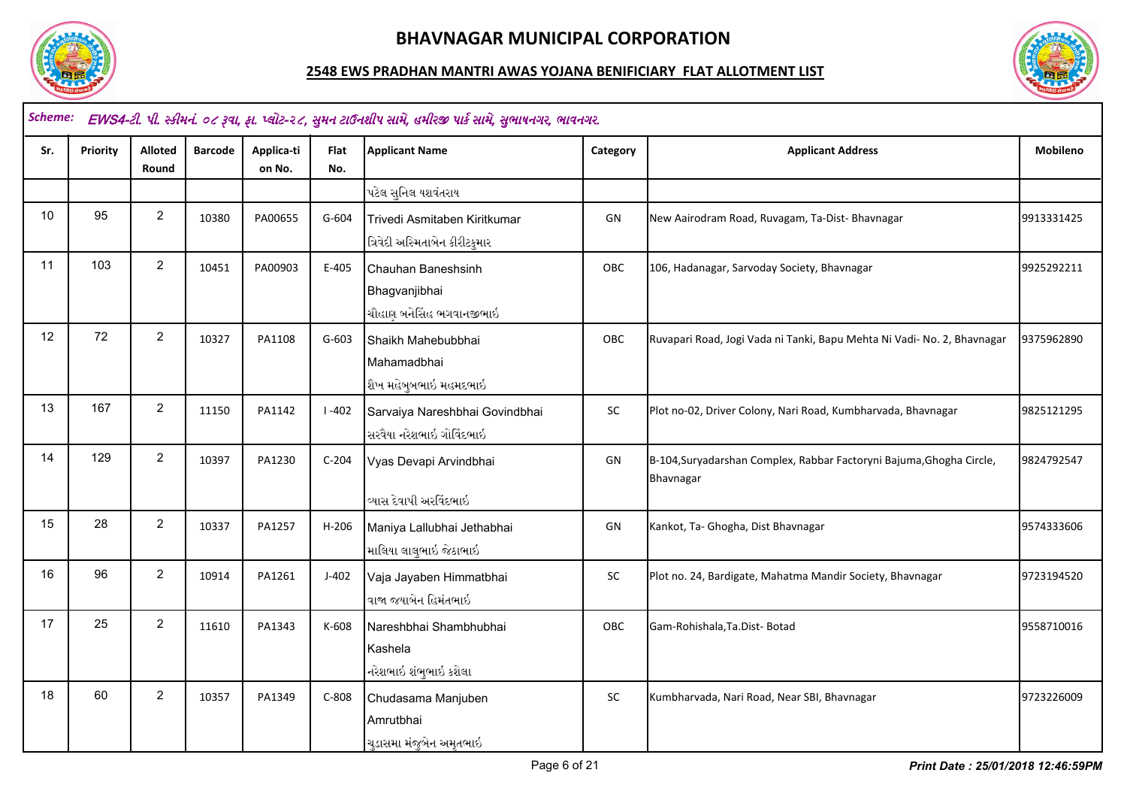



#### **Barcode** | Applica-ti | Flat | Applicant Name | Category | Category | Applicant Address | Mobileno **No. Applica-ti on No.** *Scheme:*  **Sr.** EWS4-ટી. પી. સ્કીમનં. ૦૮ રૂવા, ફા. પ્લોટ-૨૮, સુમન ટાઉનશીપ સામે, હમીરજી પાર્ક સામે, સુભાષનગર, ભાવનગર. **Alloted Round Priority** પટેલ સનિલ યશવંતરાય 10 95 2 10380 PA00655 G-604 Trivedi Asmitaben Kiritkumar GN New Aairodram Road, Ruvagam, Ta-Dist- Bhavnagar 9913331425 ત્રિવેદી અસ્મિતાબેન કીરીટકુમાર 10451 PA00903 E-405 Chauhan Baneshsinh OBC Bhagvanjibhai 11 | 103 | 2 | 10451 | PA00903 | E-405 | Chauhan Baneshsinh OBC | 106, Hadanagar, Sarvoday Society, Bhavnagar | 9925292211 |ચૌહાણ બનેસિંહ ભગવાનજીભાઇ 10327 PA1108 G-603 Shaikh Mahebubbhai OBC Mahamadbhai 12 72 2 10327 PA1108 G-603 Shaikh Mahebubbhai 8 0BC Ruvapari Road, Jogi Vada ni Tanki, Bapu Mehta Ni Vadi- No. 2, Bhavnagar 9375962890 શૈખ મહેબબભાઇ મહમદભાઇ 13 | 167 | 2 | 11150 | PA1142 | I-402 | Sarvaiya Nareshbhai Govindbhai | SC | Plot no-02, Driver Colony, Nari Road, Kumbharvada, Bhavnagar | 9825121295 સરવૈયા નરેશભાઇ ગોવિંદભાઇ 14 | 129 | 2 | 10397 | PA1230 | C-204 | Vyas Devapi Arvindbhai | GN | B-104,Suryadarshan Complex, Rabbar Factoryni Bajuma,Ghogha Circle, | 9824792547 Bhavnagar વ્યાસ દેવાપી અરવિંદભાઇ 15 28 28 2 10337 PA1257 H-206 Maniya Lallubhai Jethabhai GN Kankot, Ta- Ghogha, Dist Bhavnagar 9574333606 માલિયા લાલભાઇ જેઠાભાઇ 16 | 96 | 2 | 10914 | PA1261 | J-402 | Vaja Jayaben Himmatbhai SC | Plot no. 24, Bardigate, Mahatma Mandir Society, Bhavnagar | 9723194520 વાજા જયાબેન હિમંતભાઇ 11610 PA1343 K-608 Nareshbhai Shambhubhai OBC Kashela 17 25 26 2 11610 PA1343 K-608 Nareshbhai Shambhubhai CDBC Gam-Rohishala,Ta.Dist-Botad 3558710016 નરેશભાઇ શંભુભાઇ કશેલા 10357 | PA1349 | C-808 | Chudasama Manjuben | SC Amrutbhai 18 60 2 10357 RA1349 C-808 Chudasama Maniuben SC Kumbharvada, Nari Road, Near SBI, Bhavnagar 30 10723226009 ચુડાસમા મંજુબેન અમૃતભાઇ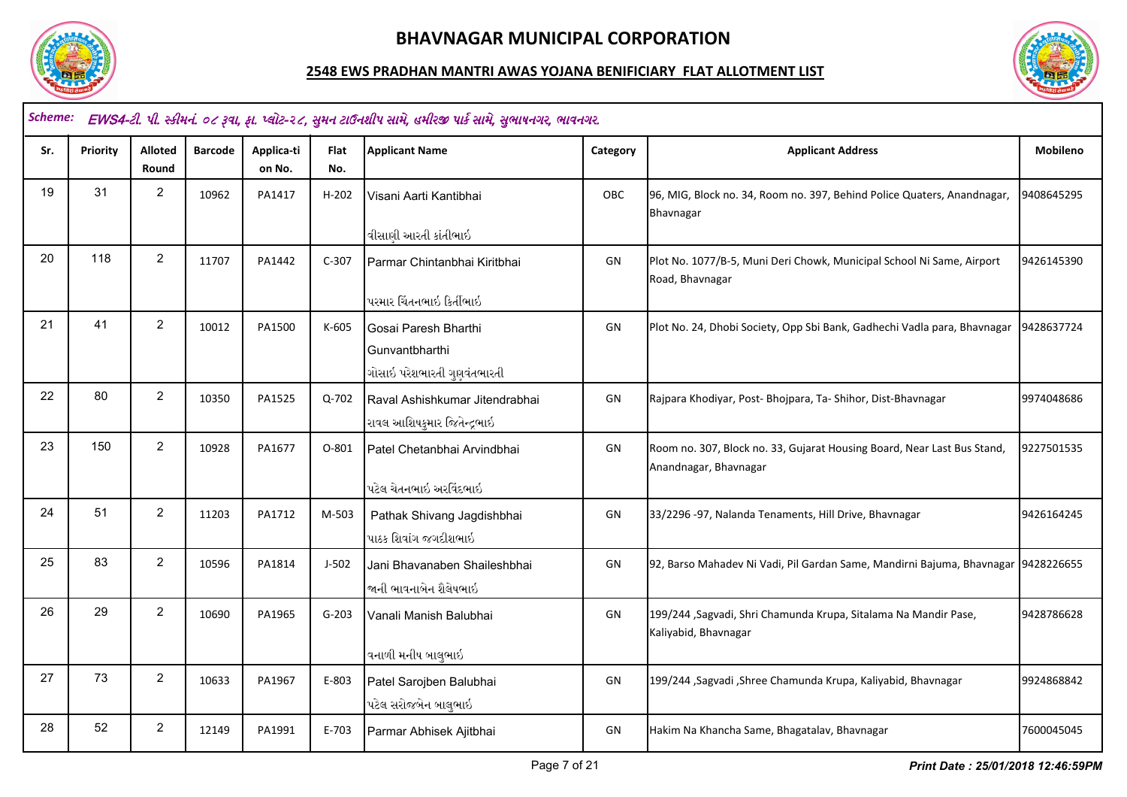



# Barcode | Applica-ti | Flat |Applicant Name Category | Applicant Address Mobileno **No. Applica-ti on No.** *Scheme:*  **Sr.** EWS4-ટી. પી. સ્કીમનં. ૦૮ રૂવા, ફા. પ્લોટ-૨૮, સુમન ટાઉનશીપ સામે, હમીરજી પાર્ક સામે, સુભાષનગર, ભાવનગર. **Alloted Round Priority** 19 | 31 | 2 | 10962 | PA1417 | H-202 | Visani Aarti Kantibhai | OBC | 96, MIG, Block no. 34, Room no. 397, Behind Police Quaters, Anandnagar, | 9408645295 Bhavnagar વીસાણી આરતી કાંતીભાઇ 20 | 118 | 2 | 11707 | PA1442 | C-307 | Parmar Chintanbhai Kiritbhai | GN | Plot No. 1077/B-5, Muni Deri Chowk, Municipal School Ni Same, Airport | 9426145390 Road, Bhavnagar પરમાર ચિંતનભાઇ કિર્તીભાઇ 10012 PA1500 K-605 Gosai Paresh Bharthi GN **Gunvantbharthi** 21 41 2 10012 PA1500 K-605 Gosai Paresh Bharthi 6N Plot No. 24, Dhobi Society, Opp Sbi Bank, Gadhechi Vadla para, Bhavnagar 9428637724 ગોસાઇ પરેશભારતી ગણવંતભારતી 22 80 2 10350 PA1525 Q-702 Raval Ashishkumar Jitendrabhai GN Rajpara Khodiyar, Post- Bhojpara, Ta- Shihor, Dist-Bhavnagar 9974048686 રાવલ આશિષકુમાર જિતેન્દ્રભાઇ 23 | 150 | 2 | 10928 | PA1677 | O-801 Patel Chetanbhai Arvindbhai | GN Room no. 307, Block no. 33, Gujarat Housing Board, Near Last Bus Stand, 9227501535 Anandnagar, Bhavnagar પટેલ ચેતનભાઈ અરવિંદભાઈ 24 | 51 | 2 | 11203 | PA1712 | M-503 | Pathak Shivang Jagdishbhai | GN | 33/2296 -97, Nalanda Tenaments, Hill Drive, Bhavnagar | 9426164245 પાઠક શિવાંગ જગદીશભાઇ 25 83 | 2 | 10596 PA1814 | J-502 | Jani Bhavanaben Shaileshbhai | GN 92, Barso Mahadev Ni Vadi, Pil Gardan Same, Mandirni Bajuma, Bhavnagar 9428226655 જાની ભાવનાબેન શૈલેષભાઇ 26 | 29 | 2 | 10690 | PA1965 | G-203 | Vanali Manish Balubhai | GN | 199/244 ,Sagvadi, Shri Chamunda Krupa, Sitalama Na Mandir Pase, | 9428786628 Kaliyabid, Bhavnagar વનાળી મનીષ બાલુભાઇ 27 | 73 | 2 | 10633 | PA1967 | E-803 | Patel Sarojben Balubhai | GN | 199/244 ,Sagvadi ,Shree Chamunda Krupa, Kaliyabid, Bhavnagar | 9924868842 પટેલ સરોજબેન બાલુભાઇ 28 | 52 | 2 | 12149 | PA1991 | E-703 | Parmar Abhisek Ajitbhai | GN | Hakim Na Khancha Same, Bhagatalav, Bhavnagar | 7600045045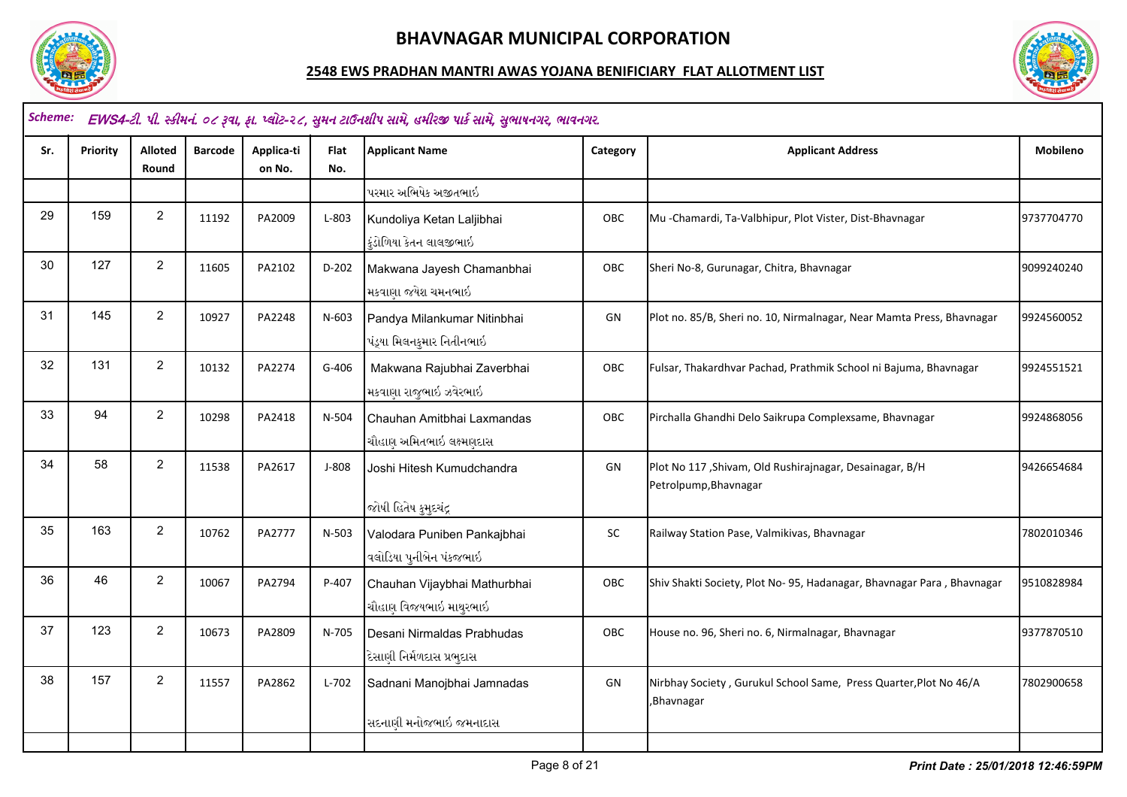



# Barcode | Applica-ti | Flat |Applicant Name Category | Applicant Address Mobileno **No. Applica-ti on No.** *Scheme:*  **Sr.** EWS4-ટટ. પટ. સસટમનન. ૦૮ રવફ, ફફ. પલપટ-૨૮, સજમન ટફઉનશટપ સફમસ, હમટરજ પફસર સફમસ, સજભફષનગર, ભફવનગર. **Alloted Round Priority** પરમાર અભિષેક અજીતભાઇ 29 | 159 | 2 | 11192 | PA2009 | L-803 | Kundoliya Ketan Laljibhai | OBC | Mu -Chamardi, Ta-Valbhipur, Plot Vister, Dist-Bhavnagar | 9737704770 કડોળિયા કેતન લાલજીભાઇ 30 | 127 | 2 | 11605 | PA2102 | D-202 |Makwana Jayesh Chamanbhai | OBC |Sheri No-8, Gurunagar, Chitra, Bhavnagar | | 9099240240 મકવાણા જયેશ ચમનભાઇ 31 145 2 10927 PA2248 N-603 Pandya Milankumar Nitinbhai GN Plot no. 85/B, Sheri no. 10, Nirmalnagar, Near Mamta Press, Bhavnagar 9924560052 પંડયા મિલનકમાર નિતીનભાઇ 32 | 131 | 2 | 10132 | PA2274 | G-406 | Makwana Rajubhai Zaverbhai | OBC | Fulsar, Thakardhvar Pachad, Prathmik School ni Bajuma, Bhavnagar | 9924551521 મકવાણા રાજુભાઇ ઝવેરભાઇ 33 94 | 2 | 10298 | PA2418 | N-504 | Chauhan Amitbhai Laxmandas | OBC | Pirchalla Ghandhi Delo Saikrupa Complexsame, Bhavnagar | 9924868056 ચૌહાણ અમિતભાઇ લક્ષ્મણદાસ 34 | 58 | 2 | 11538 | PA2617 | J-808 | Joshi Hitesh Kumudchandra | GN | Plot No 117 ,Shivam, Old Rushirajnagar, Desainagar, B/H | 9426654684 Petrolpump,Bhavnagar જોષી હિતેષ કુમુદચંદ્ર 35 163 2 10762 PA2777 N-503 Valodara Puniben Pankajbhai SC Railway Station Pase, Valmikivas, Bhavnagar 7802010346 વલોડિયા પનીબેન પંકજભાઇ 36 46 2 10067 PA2794 P-407 Chauhan Vijaybhai Mathurbhai OBC Shiv Shakti Society, Plot No- 95, Hadanagar, Bhavnagar Para , Bhavnagar 9510828984 ચૌહાણ વિજયભાઇ માથુરભાઇ 37 | 123 | 2 | 10673 | PA2809 | N-705 | Desani Nirmaldas Prabhudas | OBC | House no. 96, Sheri no. 6, Nirmalnagar, Bhavnagar | 9377870510 દેસાણી નિર્મળદાસ પ્રભુદાસ 38 | 157 | 2 | 11557 | PA2862 | L-702 | Sadnani Manojbhai Jamnadas | GN | Nirbhay Society , Gurukul School Same, Press Quarter,Plot No 46/A | 7802900658 ,Bhavnagar સદનાણી મનોજભાઇ જમનાદાસ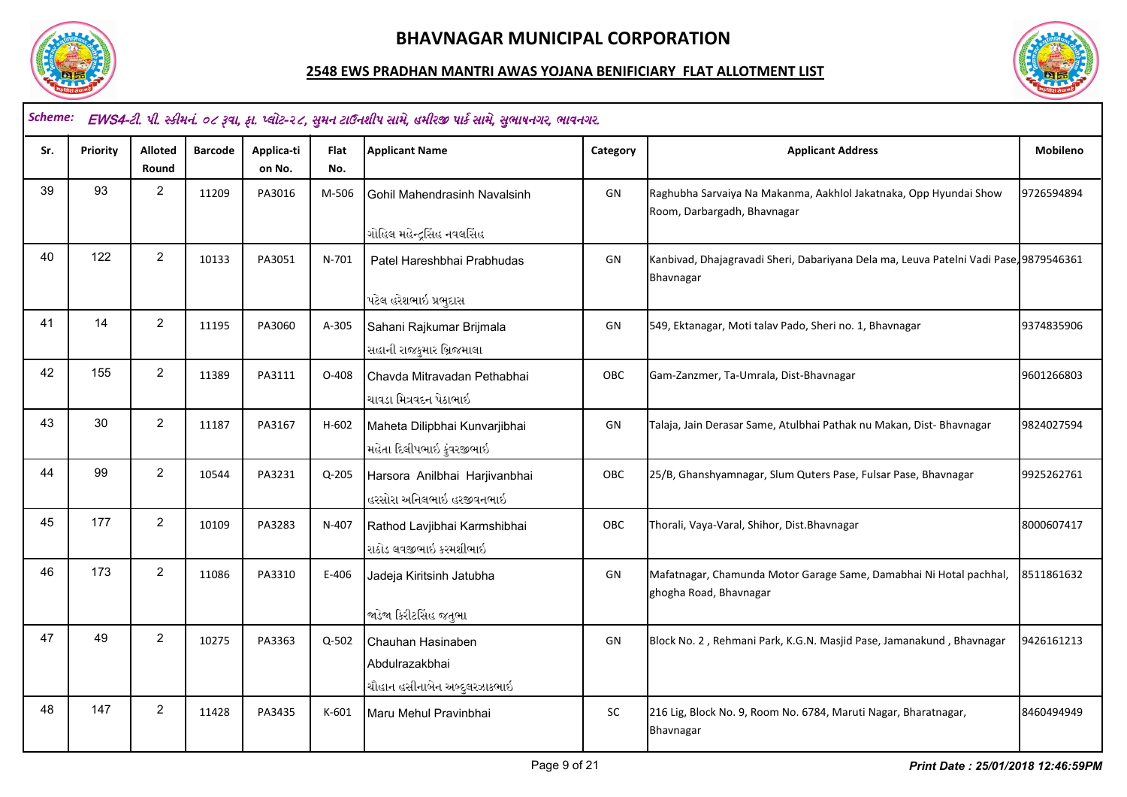



# Barcode | Applica-ti | Flat |Applicant Name Category | Applicant Address Mobileno **No. Applica-ti on No. Sr. Alloted Round Priority** 39 | 93 | 2 | 11209 | PA3016 | M-506 Gohil Mahendrasinh Navalsinh | GN |Raghubha Sarvaiya Na Makanma, Aakhlol Jakatnaka, Opp Hyundai Show | 9726594894 Room, Darbargadh, Bhavnagar ગોહિલ મહેન્દ્રસિંહ નવલસિંહ 40 | 122 | 2 | 10133 | PA3051 | N-701 | Patel Hareshbhai Prabhudas | GN | Kanbivad, Dhajagravadi Sheri, Dabariyana Dela ma, Leuva Patelni Vadi Pase, 9879546361 Bhavnagar પટેલ હરેશભાઇ પ્રભુદાસ 41 | 14 | 2 | 11195 | PA3060 | A-305 | Sahani Rajkumar Brijmala | GN | 549, Ektanagar, Moti talav Pado, Sheri no. 1, Bhavnagar | 9374835906 સહાની રાજકમાર બ્રિજમાલા 42 | 155 | 2 | 11389 | PA3111 | O-408 | Chavda Mitravadan Pethabhai | OBC | Gam-Zanzmer, Ta-Umrala, Dist-Bhavnagar | | 9601266803 ચાવડા મિત્રવદન પેઠાભાઇ 43 30 2 11187 PA3167 H-602 Maheta Dilipbhai Kunvarjibhai GN Talaja, Jain Derasar Same, Atulbhai Pathak nu Makan, Dist- Bhavnagar 9824027594 મહેતા દિલીપભાઇ કંવરજીભાઇ 44 | 99 | 2 | 10544 | PA3231 | Q-205 | Harsora Anilbhai Harjivanbhai | OBC | 25/B, Ghanshyamnagar, Slum Quters Pase, Fulsar Pase, Bhavnagar | 9925262761 હરસોરા અનિલભાઇ હરજીવનભાઇ 45 | 177 | 2 | 10109 | PA3283 | N-407 | Rathod Lavjibhai Karmshibhai | OBC | Thorali, Vaya-Varal, Shihor, Dist.Bhavnagar | 8000607417 રાઠોડ લવજીભાઇ કરમશીભાઇ 46 | 173 | 2 | 11086 | PA3310 | E-406 | Jadeja Kiritsinh Jatubha | GN | Mafatnagar, Chamunda Motor Garage Same, Damabhai Ni Hotal pachhal, 8511861632 ghogha Road, Bhavnagar જાડેજા કિરીટસિંહ જતભા 10275 PA3363 Q-502 Chauhan Hasinaben GN Abdulrazakbhai 47 49 2 10275 RA3363 Q-502 Chauhan Hasinaben 6 GN Block No. 2, Rehmani Park, K.G.N. Masjid Pase, Jamanakund , Bhavnagar 9426161213 ચૌહાન હસીનાબેન અબ્દુલરઝાકભાઇ 48 | 147 | 2 | 11428 | PA3435 | K-601 |Maru Mehul Pravinbhai | SC | 216 Lig, Block No. 9, Room No. 6784, Maruti Nagar, Bharatnagar, | 8460494949 Bhavnagar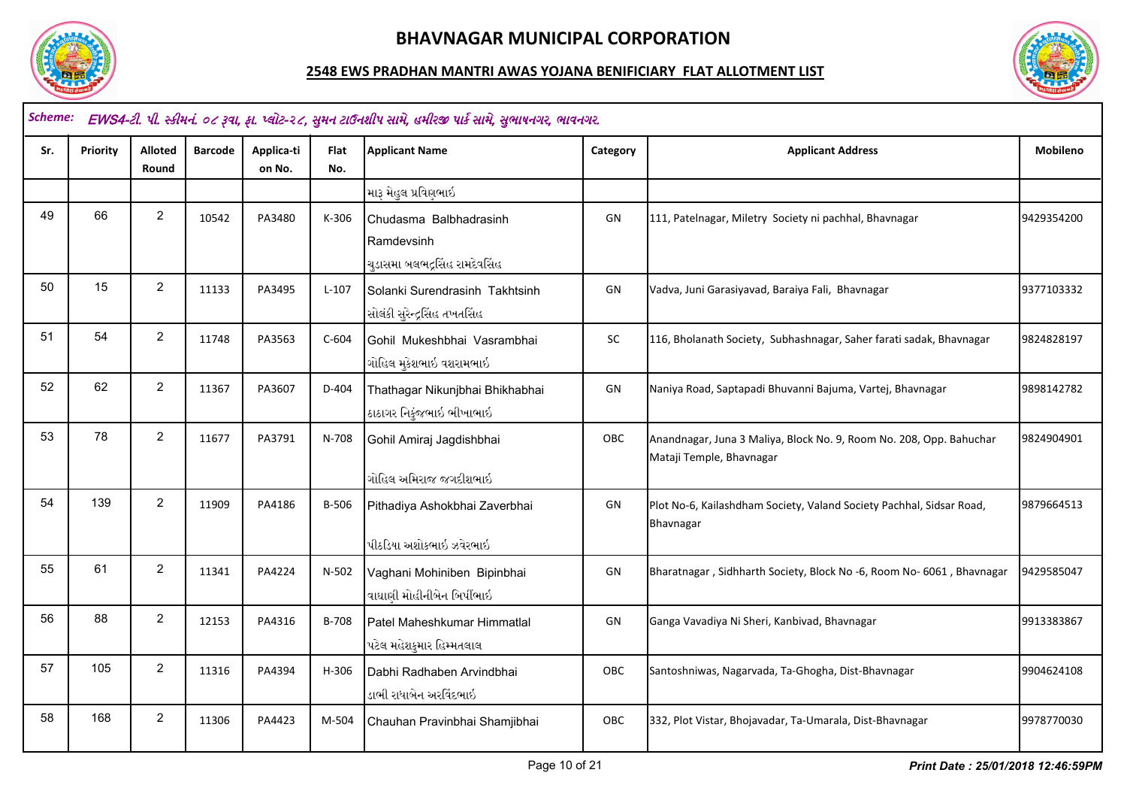



# Barcode | Applica-ti | Flat |Applicant Name Category | Applicant Address Mobileno **No. Applica-ti on No.** *Scheme:*  **Sr.** EWS4-ટી. પી. સ્કીમનં. ૦૮ રૂવા, ફા. પ્લોટ-૨૮, સુમન ટાઉનશીપ સામે, હમીરજી પાર્ક સામે, સુભાષનગર, ભાવનગર. **Alloted Round Priority** મારૂ મેહલ પ્રવિણભાઇ 10542 | PA3480 | K-306 Chudasma Balbhadrasinh | GN Ramdevsinh 49 66 2 10542 PA3480 K-306 Chudasma Balbhadrasinh GN 111, Patelnagar, Miletry Society ni pachhal, Bhavnagar 9429354200 ચડાસમા બલભદસિંહ રામદેવસિંહ 50 | 15 | 2 | 11133 | PA3495 | L-107 | Solanki Surendrasinh Takhtsinh | GN | Vadva, Juni Garasiyavad, Baraiya Fali, Bhavnagar | | 9377103332 સોલંકી સરેન્દ્રસિંહ તખતસિંહ 51 | 54 | 2 | 11748 | PA3563 | C-604 | Gohil Mukeshbhai Vasrambhai | SC | 116, Bholanath Society, Subhashnagar, Saher farati sadak, Bhavnagar | 9824828197 ગોહિલ મુકેશભાઇ વશરામભાઇ 52 62 2 11367 PA3607 D-404 Thathagar Nikunjbhai Bhikhabhai GN Naniya Road, Saptapadi Bhuvanni Bajuma, Vartej, Bhavnagar 9898142782 ઠાઠાગર નિકુંજભાઇ ભીખાભાઇ 53 | 78 | 2 | 11677 | PA3791 | N-708 Gohil Amiraj Jagdishbhai | OBC | Anandnagar, Juna 3 Maliya, Block No. 9, Room No. 208, Opp. Bahuchar | 9824904901 Mataji Temple, Bhavnagar ગોહિલ અમિરાજ જગદીશભાઇ 54 | 139 | 2 | 11909 | PA4186 | B-506 | Pithadiya Ashokbhai Zaverbhai | GN | Plot No-6, Kailashdham Society, Valand Society Pachhal, Sidsar Road, | 9879664513 Bhavnagar પીઠડિયા અશોકભાઈ ઝવેરભાઈ 55 61 | 2 | 11341 | PA4224 | N-502 | Vaghani Mohiniben Bipinbhai | GN | Bharatnagar , Sidhharth Society, Block No -6, Room No- 6061 , Bhavnagar | 9429585047 વાઘાણી મોહીનીબેન બિપીંભાઇ 56 | 88 | 2 | 12153 | PA4316 | B-708 | Patel Maheshkumar Himmatlal | GN | Ganga Vavadiya Ni Sheri, Kanbivad, Bhavnagar | 9913383867 ાપટેલ મહેશકમાર હિમ્મતલાલ 57 105 2 11316 PA4394 H-306 Dabhi Radhaben Arvindbhai OBC Santoshniwas, Nagarvada, Ta-Ghogha, Dist-Bhavnagar 9904624108 ડાભી રાધાબેન અરવિંદભાઇ 58 | 168 | 2 | 11306 | PA4423 | M-504 | Chauhan Pravinbhai Shamjibhai | OBC | 332, Plot Vistar, Bhojavadar, Ta-Umarala, Dist-Bhavnagar | 9978770030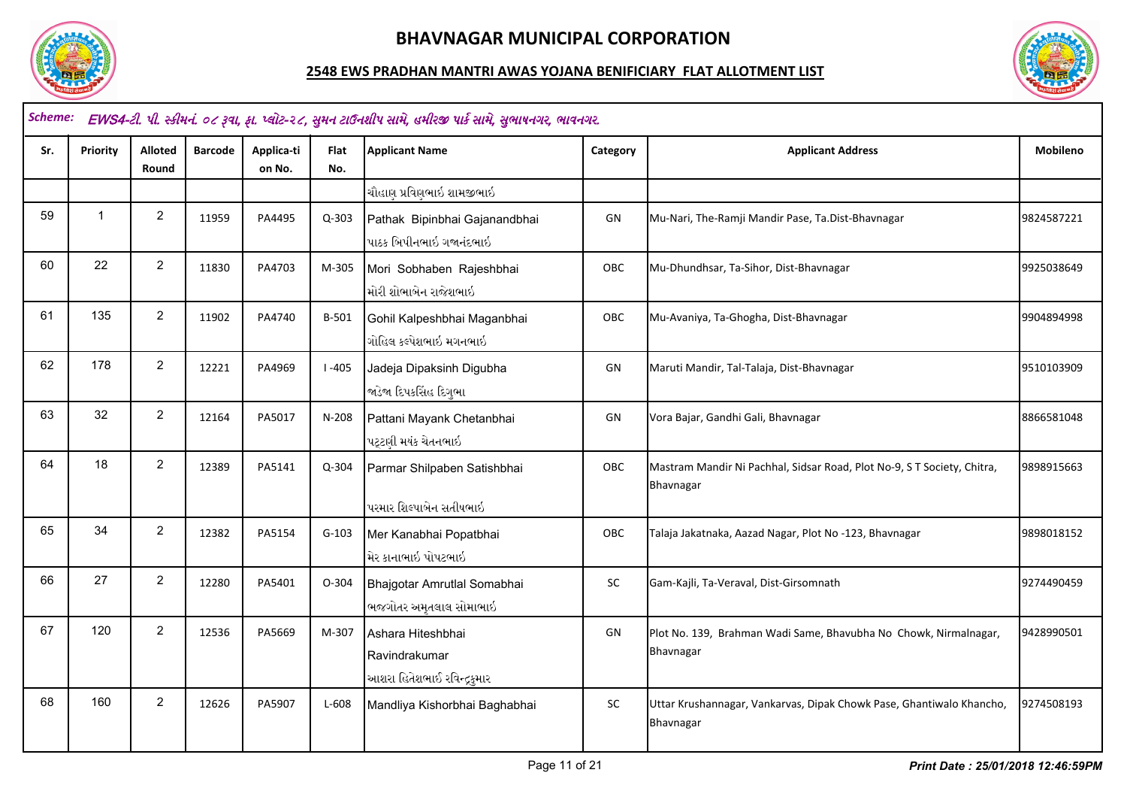



# Barcode | Applica-ti | Flat |Applicant Name Category | Applicant Address Mobileno **No. Applica-ti on No.** *Scheme:*  **Sr.** EWS4-ટી. પી. સ્કીમનં. ૦૮ રૂવા, ફા. પ્લોટ-૨૮, સુમન ટાઉનશીપ સામે, હમીરજી પાર્ક સામે, સુભાષનગર, ભાવનગર. **Alloted Round Priority** ચૌહાણ પ્રવિણભાઇ શામજીભાઇ 59 | 1 | 2 | 11959 | PA4495 | Q-303 | Pathak Bipinbhai Gajanandbhai | GN | Mu-Nari, The-Ramji Mandir Pase, Ta.Dist-Bhavnagar | 9824587221 પાઠક બિપીનભાઇ ગજાનંદભાઇ 60 | 22 | 2 | 11830 | PA4703 | M-305 |Mori Sobhaben Rajeshbhai OBC |Mu-Dhundhsar, Ta-Sihor, Dist-Bhavnagar | 9925038649 મોરી શોભાબેન રાજેશભાઇ 61 | 135 | 2 | 11902 | PA4740 | B-501 Gohil Kalpeshbhai Maganbhai | OBC | Mu-Avaniya, Ta-Ghogha, Dist-Bhavnagar | | 9904894998 ગોહિલ કલ્પેશભાઇ મગનભાઇ 62 | 178 | 2 | 12221 | PA4969 | I -405 | Jadeja Dipaksinh Digubha | GN | Maruti Mandir, Tal-Talaja, Dist-Bhavnagar | 9510103909 જાડેજા દિપકસિંહ દિગુભા 63 | 32 | 2 | 12164 | PA5017 | N-208 | Pattani Mayank Chetanbhai GN GN | Vora Bajar, Gandhi Gali, Bhavnagar Sandhi Gali, Bhavnagar | 8866581048 પટટણી મયંક ચેતનભાઇ 64 | 18 | 2 | 12389 | PA5141 | Q-304 |Parmar Shilpaben Satishbhai | OBC |Mastram Mandir Ni Pachhal, Sidsar Road, Plot No-9, S T Society, Chitra, |9898915663 Bhavnagar પરમાર શિલ્પાબેન સતીષભાઈ 65 34 2 12382 PA5154 G-103 Mer Kanabhai Popatbhai OBC Talaja Jakatnaka, Aazad Nagar, Plot No -123, Bhavnagar 9898018152 મેર કાનાભાઇ પોપટભાઇ 66 27 2 12280 PA5401 O-304 Bhaigotar Amrutlal Somabhai SC Gam-Kajli, Ta-Veraval, Dist-Girsomnath 9274490459 ભજગોતર અમૃતલાલ સોમાભાઇ 12536 PA5669 M-307 Ashara Hiteshbhai GN Ravindrakumar 67 | 120 | 2 | 12536 | PA5669 | M-307 | Ashara Hiteshbhai | GN | Plot No. 139, Brahman Wadi Same, Bhavubha No Chowk, Nirmalnagar, 19428990501 Bhavnagar આશરા હિતેશભાઈ રવિન્દ્રકુમાર 68 | 160 | 2 | 12626 | PA5907 | L-608 |Mandliya Kishorbhai Baghabhai | SC |Uttar Krushannagar, Vankarvas, Dipak Chowk Pase, Ghantiwalo Khancho, |9274508193 Bhavnagar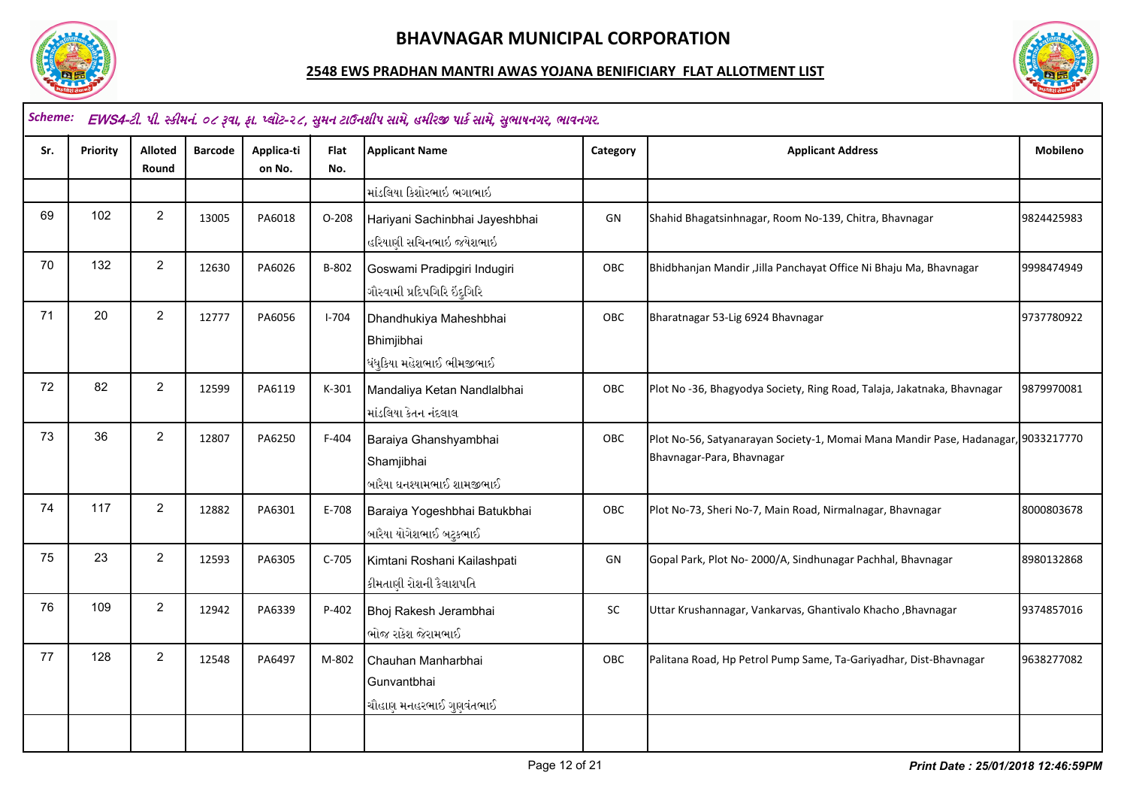

*Scheme:* 

#### **2548 EWS PRADHAN MANTRI AWAS YOJANA BENIFICIARY FLAT ALLOTMENT LIST**

EWS4-ટી. પી. સ્કીમનં. ૦૮ રૂવા, ફા. પ્લોટ-૨૮, સુમન ટાઉનશીપ સામે, હમીરજી પાર્ક સામે, સુભાષનગર, ભાવનગર.



# Barcode | Applica-ti | Flat |Applicant Name Category | Applicant Address Mobileno **No. Applica-ti on No. Sr. Alloted Round Priority** .<br>માંડલિયા કિશોરભાઇ ભગાભાઇ 69 | 102 | 2 | 13005 | PA6018 | O-208 | Hariyani Sachinbhai Jayeshbhai | GN | Shahid Bhagatsinhnagar, Room No-139, Chitra, Bhavnagar | 9824425983 હરિયાણી સચિનભાઇ જયેશભાઇ 70 | 132 | 2 | 12630 | PA6026 | B-802 Goswami Pradipgiri Indugiri | OBC |Bhidbhanjan Mandir ,Jilla Panchayat Office Ni Bhaju Ma, Bhavnagar | 9998474949 ગૌસ્વામી પ્રદિપગિરિ ઇંદુગિરિ 12777 | PA6056 | I-704 | Dhandhukiya Maheshbhai | OBC Bhimjibhai 71 20 2 12777 RA6056 1-704 Dhandhukiya Maheshbhai NGC Bharatnagar 53-Lig 6924 Bhavnagar ધંધકિયા મહેશભાઈ ભીમજીભાઈ 72 | 82 | 2 | 12599 | PA6119 | K-301 |Mandaliya Ketan Nandlalbhai | OBC |Plot No -36, Bhagyodya Society, Ring Road, Talaja, Jakatnaka, Bhavnagar | 9879970081 માંડલિયા કેતન નંદલાલ 12807 PA6250 F-404 Baraiya Ghanshyambhai OBC Shamjibhai 73 | 36 | 2 | 12807 | PA6250 | F-404 | Baraiya Ghanshyambhai | OBC | Plot No-56, Satyanarayan Society-1, Momai Mana Mandir Pase, Hadanagar, 9033217770 Bhavnagar-Para, Bhavnagar બારૈયા ઘનશ્યામભાઈ શામજીભાઈ 74 | 117 | 2 | 12882 | PA6301 | E-708 | Baraiya Yogeshbhai Batukbhai | OBC | Plot No-73, Sheri No-7, Main Road, Nirmalnagar, Bhavnagar | 8000803678 બારૈયા યોગેશભાઈ બટુકભાઈ 75 | 23 | 2 | 12593 | PA6305 | C-705 | Kimtani Roshani Kailashpati | GN | Gopal Park, Plot No- 2000/A, Sindhunagar Pachhal, Bhavnagar | 8980132868 કીમતાણી રોશની કૈલાશપતિ 76 | 109 | 2 | 12942 | PA6339 | P-402 | Bhoj Rakesh Jerambhai SC | Uttar Krushannagar, Vankarvas, Ghantivalo Khacho ,Bhavnagar | 9374857016 ભોજ રાકેશ જેરામભાઈ 12548 PA6497 M-802 Chauhan Manharbhai OBC **Gunvantbhai** 77 | 128 | 2 | 12548 | PA6497 | M-802 | Chauhan Manharbhai | OBC | Palitana Road, Hp Petrol Pump Same, Ta-Gariyadhar, Dist-Bhavnagar | 9638277082 ચૌહાણ મનહરભાઈ ગુણવંતભાઈ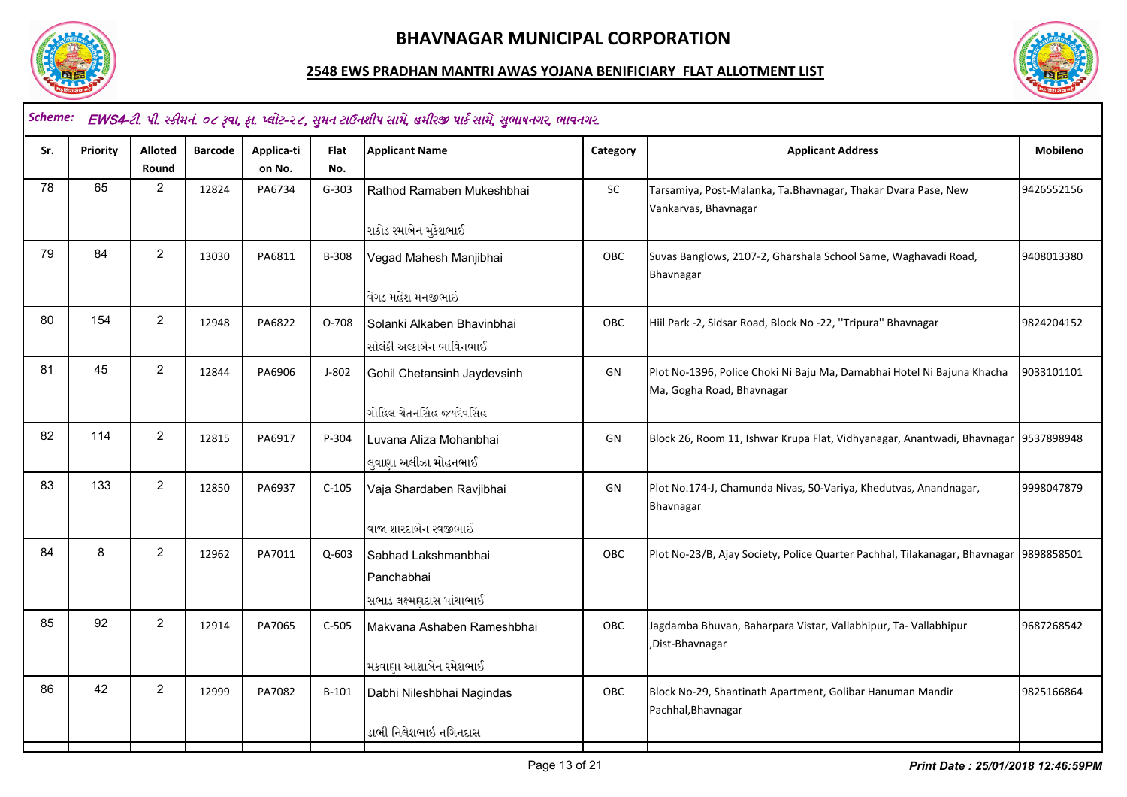



## Barcode | Applica-ti | Flat |Applicant Name Category | Applicant Address Mobileno **No. Applica-ti on No.** *Scheme:*  **Sr.** EWS4-ટી. પી. સ્કીમનં. ૦૮ રૂવા, ફા. પ્લોટ-૨૮, સુમન ટાઉનશીપ સામે, હમીરજી પાર્ક સામે, સુભાષનગર, ભાવનગર. **Alloted Round Priority** 78 | 65 | 2 | 12824 | PA6734 | G-303 | Rathod Ramaben Mukeshbhai | SC | Tarsamiya, Post-Malanka, Ta.Bhavnagar, Thakar Dvara Pase, New | 9426552156 Vankarvas, Bhavnagar રાઠોડ રમાબેન મકેશભાઈ 79 | 84 | 2 | 13030 | PA6811 | B-308 |Vegad Mahesh Manjibhai | OBC |Suvas Banglows, 2107-2, Gharshala School Same, Waghavadi Road, | 9408013380 Bhavnagar વેગડ મહેશ મનજીભાઇ 80 | 154 | 2 | 12948 PA6822 | 0-708 Solanki Alkaben Bhavinbhai | OBC |Hiil Park -2, Sidsar Road, Block No -22, "Tripura" Bhavnagar | 9824204152 સોલંકી અલ્કાબેન ભાવિનભાઈ 81 | 45 | 2 | 12844 | PA6906 | J-802 Gohil Chetansinh Jaydevsinh | GN | Plot No-1396, Police Choki Ni Baju Ma, Damabhai Hotel Ni Bajuna Khacha | 9033101101 Ma, Gogha Road, Bhavnagar ગોહિલ ચેતનસિંહ જયદેવસિંહ 82 | 114 | 2 | 12815 | PA6917 | P-304 | Luvana Aliza Mohanbhai | GN | Block 26, Room 11, Ishwar Krupa Flat, Vidhyanagar, Anantwadi, Bhavnagar | 9537898948 લુવાણા અલીઝા મોહનભાઈ 83 | 133 | 2 | 12850 | PA6937 | C-105 | Vaja Shardaben Ravjibhai | GN | Plot No.174-J, Chamunda Nivas, 50-Variya, Khedutvas, Anandnagar, | 9998047879 Bhavnagar વાજા શારદાબેન રવજીભાઈ 12962 PA7011 Q-603 Sabhad Lakshmanbhai OBC Panchabhai 84 | 8 | 2 | 12962 | PA7011 | Q-603 | Sabhad Lakshmanbhai | OBC | Plot No-23/B, Ajay Society, Police Quarter Pachhal, Tilakanagar, Bhavnagar | 9898858501 સભાડ લક્ષ્મણદાસ પાંચાભાઈ 85 | 92 | 2 | 12914 | PA7065 | C-505 |Makvana Ashaben Rameshbhai | OBC |Jagdamba Bhuvan, Baharpara Vistar, Vallabhipur, Ta- Vallabhipur | 9687268542 ,Dist-Bhavnagar મકવાણા આશાબેન રમેશભાઈ 86 | 42 | 2 | 12999 | PA7082 | B-101 Dabhi Nileshbhai Nagindas | OBC |Block No-29, Shantinath Apartment, Golibar Hanuman Mandir | 9825166864 Pachhal,Bhavnagar ડાભી નિલેશભાઇ નગિનદાસ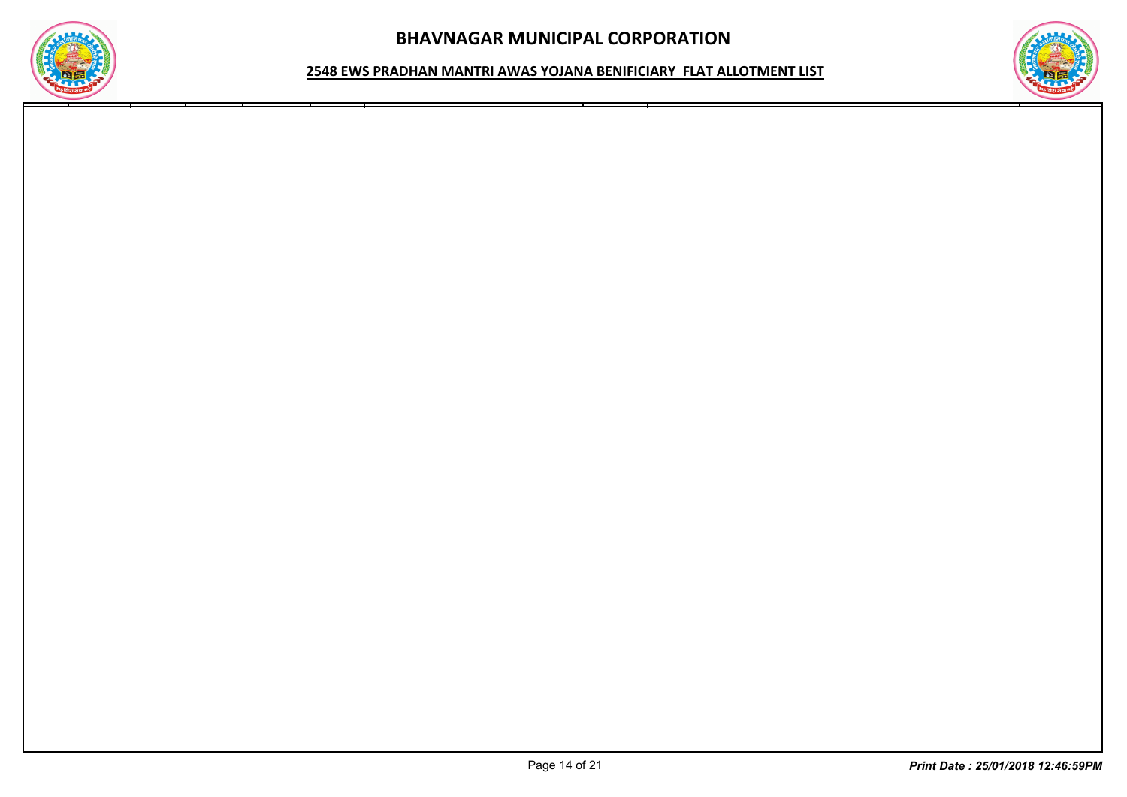

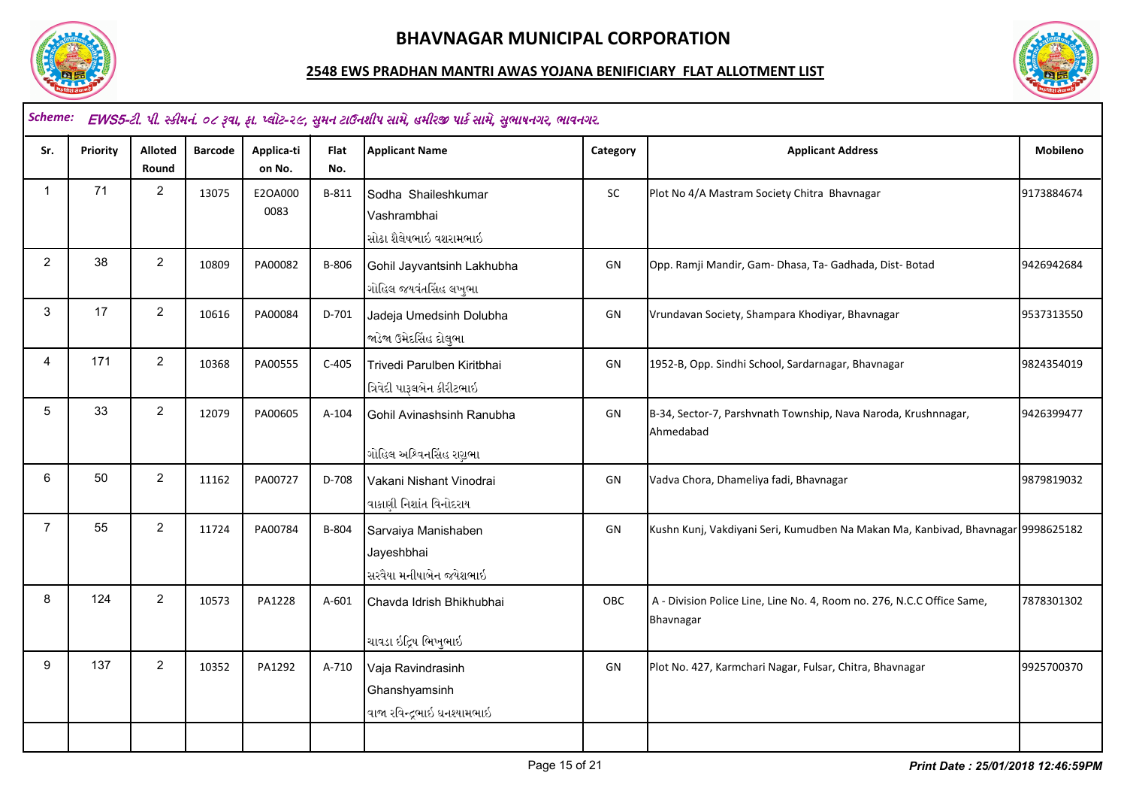



#### Barcode | Applica-ti | Flat |Applicant Name Category | Applicant Address Mobileno **No. Applica-ti on No.** *Scheme:*  **Sr.** EWS5-ટી. પી. સ્કીમનં. ૦૮ રૂવા, ફા. પ્લોટ-૨૯, સુમન ટાઉનશીપ સામે, હમીરજી પાર્ક સામે, સુભાષનગર, ભાવનગર. **Alloted Round Priority** 13075 E2OA000 0083 B-811 Sodha Shaileshkumar SC Vashrambhai 1 71 | 2 | 13075 | E2OA000 | B-811 | Sodha Shaileshkumar SC | Plot No 4/A Mastram Society Chitra Bhavnagar | 9173884674 સોઢા શૈલેષભાઇ વશરામભાઇ 2 38 2 10809 PA00082 B-806 Gohil Jayvantsinh Lakhubha GN Opp. Ramji Mandir, Gam- Dhasa, Ta- Gadhada, Dist- Botad 9426942684 ગોહિલ જયવંતસિંહ લખભા 3 17 2 10616 PA00084 D-701 Jadeja Umedsinh Dolubha GN Vrundavan Society, Shampara Khodiyar, Bhavnagar 9537313550 જાડેજા ઉમેદસિંહ દોલુભા 4 | 171 | 2 | 10368 | PA00555 | C-405 | Trivedi Parulben Kiritbhai | GN | 1952-B, Opp. Sindhi School, Sardarnagar, Bhavnagar | 9824354019 ત્રિવેદી પારૂલબેન કીરીટભાઇ 5 | 33 | 2 | 12079 | PA00605 | A-104 | Gohil Avinashsinh Ranubha | GN | B-34, Sector-7, Parshvnath Township, Nava Naroda, Krushnnagar, | 9426399477 Ahmedabad ગોહિલ અશ્વિનસિંહ રણુભા 6 | 50 | 2 | 11162 | PA00727 | D-708 | Vakani Nishant Vinodrai | GN | Vadva Chora, Dhameliya fadi, Bhavnagar | 9879819032 વાકાણી નિશાંત વિનોદરાય 11724 | PA00784 | B-804 | Sarvaiya Manishaben | GN Jayeshbhai 7 | 55 | 2 | 11724 | PA00784 | B-804 | Sarvaiya Manishaben | GN | Kushn Kunj, Vakdiyani Seri, Kumudben Na Makan Ma, Kanbivad, Bhavnagar | 9998625182 સરવૈયા મનીષાબેન જયેશભાઇ 8 | 124 | 2 | 10573 | PA1228 | A-601 Chavda Idrish Bhikhubhai | OBC | A - Division Police Line, Line No. 4, Room no. 276, N.C.C Office Same, | 7878301302 Bhavnagar ચાવડા ઇદ્રિષ ભિખુભાઇ 10352 | PA1292 | A-710 | Vaja Ravindrasinh | GN Ghanshyamsinh 9 137 2 10352 PA1292 A-710 Vaia Ravindrasinh GN Plot No. 427, Karmchari Nagar, Fulsar, Chitra, Bhavnagar 9925700370 વાજા રવિન્દ્રભાઇ ઘનશ્યામભાઇ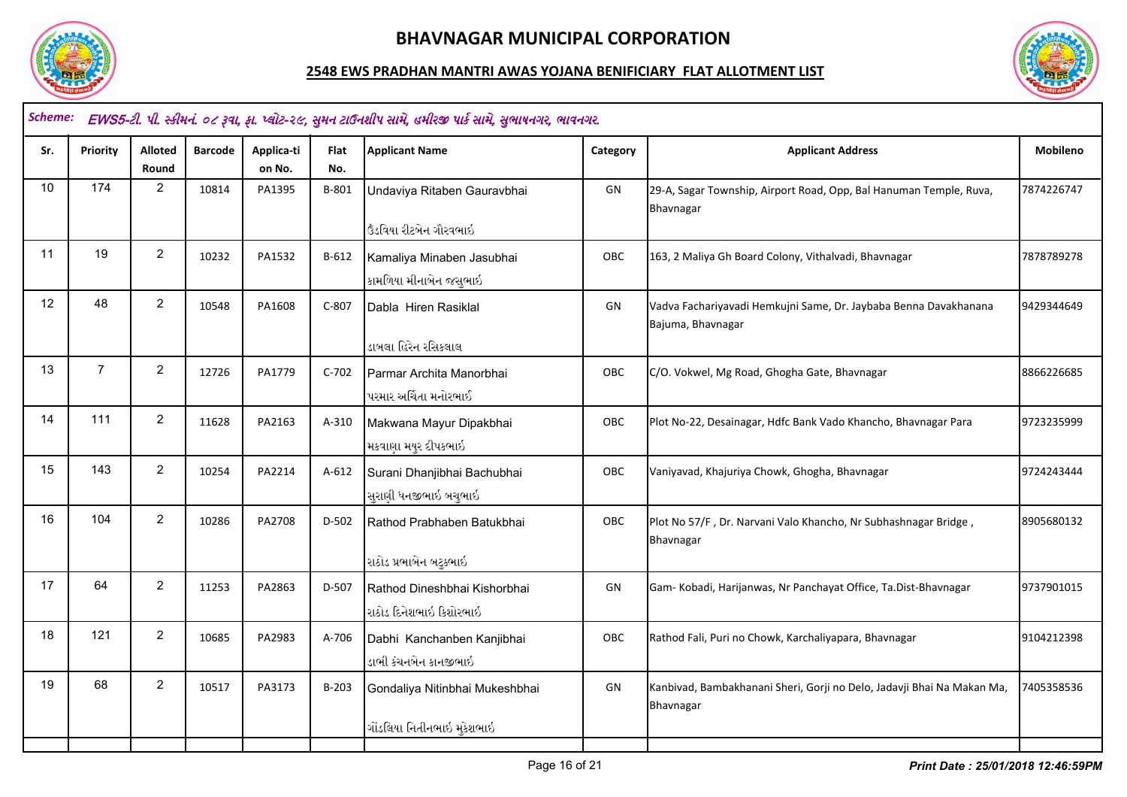



# Barcode | Applica-ti | Flat |Applicant Name Category | Applicant Address Mobileno **No. Applica-ti on No.** *Scheme:*  **Sr.** EWS5-ટી. પી. સ્કીમનં. ૦૮ રૂવા, ફા. પ્લોટ-૨૯, સુમન ટાઉનશીપ સામે, હમીરજી પાર્ક સામે, સુભાષનગર, ભાવનગર. **Alloted Round Priority** 10 | 174 | 2 | 10814 | PA1395 | B-801 | Undaviya Ritaben Gauravbhai | GN | 29-A, Sagar Township, Airport Road, Opp, Bal Hanuman Temple, Ruva, | 7874226747 Bhavnagar ઉંડવિયા રીટબેન ગૌરવભાઇ 11 | 19 | 2 | 10232 | PA1532 | B-612 | Kamaliya Minaben Jasubhai | OBC | 163, 2 Maliya Gh Board Colony, Vithalvadi, Bhavnagar | 7878789278 કામળિયા મીનાબેન જસભાઇ 12 | 48 | 2 | 10548 | PA1608 | C-807 |Dabla Hiren Rasiklal Mandel GN |Vadva Fachariyavadi Hemkujni Same, Dr. Jaybaba Benna Davakhanana | 9429344649 Bajuma, Bhavnagar ડાબલા હિરેન રસિકલાલ 13 7 2 12726 PA1779 C-702 Parmar Archita Manorbhai OBC C/O. Vokwel, Mg Road, Ghogha Gate, Bhavnagar 3866226685 પરમાર અર્ચિતા મનોરભાઈ 14 | 111 | 2 | 11628 | PA2163 | A-310 | Makwana Mayur Dipakbhai | OBC | Plot No-22, Desainagar, Hdfc Bank Vado Khancho, Bhavnagar Para | 9723235999 મકવાણા મયર દીપકભાઇ 15 | 143 | 2 | 10254 | PA2214 | A-612 | Surani Dhanjibhai Bachubhai | OBC | Vaniyavad, Khajuriya Chowk, Ghogha, Bhavnagar | 9724243444 સુરાણી ધનજીભાઇ બચુભાઇ 16 | 104 | 2 | 10286 | PA2708 | D-502 Rathod Prabhaben Batukbhai | OBC | Plot No 57/F , Dr. Narvani Valo Khancho, Nr Subhashnagar Bridge , | 8905680132 Bhavnagar રાઠોડ પ્રભાબેન બટકભાઇ 17 | 64 | 2 | 11253 | PA2863 | D-507 Rathod Dineshbhai Kishorbhai MGam- Kobadi, Harijanwas, Nr Panchayat Office, Ta.Dist-Bhavnagar | 9737901015 રાઠોડ દિનેશભાઇ કિશોરભાઇ 18 | 121 | 2 | 10685 | PA2983 | A-706 | Dabhi Kanchanben Kanjibhai | OBC | Rathod Fali, Puri no Chowk, Karchaliyapara, Bhavnagar | 9104212398 ડાભી કંચનબેન કાનજીભાઇ 19 | 68 | 2 | 10517 | PA3173 | B-203 | Gondaliya Nitinbhai Mukeshbhai | GN | Kanbivad, Bambakhanani Sheri, Gorji no Delo, Jadavji Bhai Na Makan Ma, | 7405358536 Bhavnagar ગોંડલિયા નિતીનભાઇ મુકેશભાઇ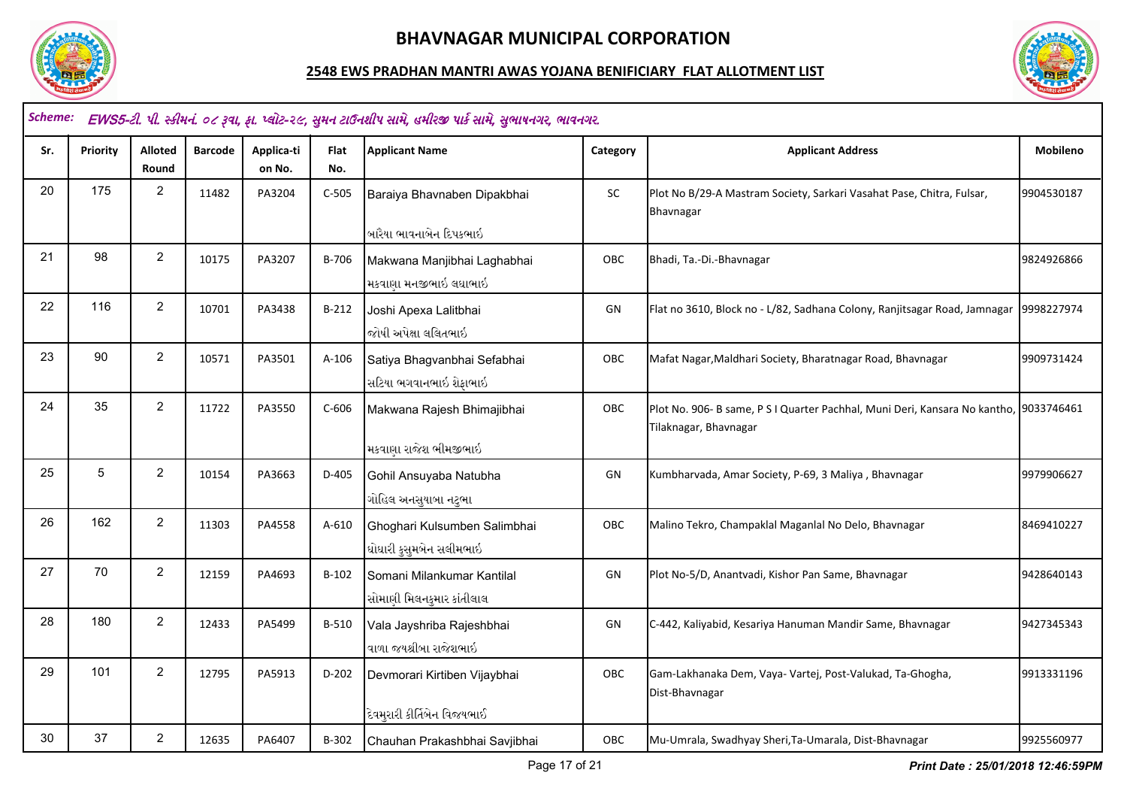

*Scheme:* 

### **2548 EWS PRADHAN MANTRI AWAS YOJANA BENIFICIARY FLAT ALLOTMENT LIST**



# Barcode | Applica-ti | Flat |Applicant Name Category | Applicant Address Mobileno **No. Applica-ti on No. Sr.** EWS5-ટી. પી. સ્કીમનં. ૦૮ રૂવા, ફા. પ્લોટ-૨૯, સુમન ટાઉનશીપ સામે, હમીરજી પાર્ક સામે, સુભાષનગર, ભાવનગર. **Alloted Round Priority** 20 | 175 | 2 | 11482 | PA3204 | C-505 Baraiya Bhavnaben Dipakbhai | SC | Plot No B/29-A Mastram Society, Sarkari Vasahat Pase, Chitra, Fulsar, | 9904530187 Bhavnagar બારૈયા ભાવનાબેન દિપકભાઇ 21 | 98 | 2 | 10175 | PA3207 | B-706 |Makwana Manjibhai Laghabhai | OBC |Bhadi, Ta.-Di.-Bhavnagar | 9824926866 મકવાણા મનજીભાઇ લઘાભાઇ 22 | 116 | 2 | 10701 | PA3438 | B-212 | Joshi Apexa Lalitbhai | GN | Flat no 3610, Block no - L/82, Sadhana Colony, Ranjitsagar Road, Jamnagar | 9998227974 જોષી અપેક્ષા લલિતભાઇ 23 | 90 | 2 | 10571 | PA3501 | A-106 | Satiya Bhagvanbhai Sefabhai | OBC | Mafat Nagar,Maldhari Society, Bharatnagar Road, Bhavnagar | 9909731424 સટિયા ભગવાનભાઇ શેકાભાઇ 24 | 35 | 2 | 11722 | PA3550 | C-606 | Makwana Rajesh Bhimajibhai | OBC | Plot No. 906- B same, P S I Quarter Pachhal, Muni Deri, Kansara No kantho, 9033746461 Tilaknagar, Bhavnagar મકવાણા રાજેશ ભીમજીભાઇ 25 | 2 | 10154 | PA3663 | D-405 | Gohil Ansuyaba Natubha | GN | Kumbharvada, Amar Society, P-69, 3 Maliya , Bhavnagar | 9979906627 ગોહિલ અનસુયાબા નટુભા 26 | 162 | 2 | 11303 | PA4558 | A-610 | Ghoghari Kulsumben Salimbhai | OBC | Malino Tekro, Champaklal Maganlal No Delo, Bhavnagar | 8469410227 ઘોઘારી કુસુમબેન સલીમભાઇ 27 | 70 | 2 | 12159 | PA4693 | B-102 | Somani Milankumar Kantilal MGN | GN | Plot No-5/D, Anantvadi, Kishor Pan Same, Bhavnagar | 9428640143 સોમાણી મિલનકુમાર કાંતીલાલ 28 | 180 | 2 | 12433 | PA5499 | B-510 | Vala Jayshriba Rajeshbhai | GN | C-442, Kaliyabid, Kesariya Hanuman Mandir Same, Bhavnagar | 9427345343 વાળા જયશ્રીબા રાજેશભાઇ 12795 PA5913 D-202 Devmorari Kirtiben Vijaybhai OBC Gam-Lakhanaka Dem, Vaya- Vartej, Post-Valukad, Ta-Ghogha, 29 101 2 9913331196 Dist-Bhavnagar દેવમરારી કીર્તિબેન વિજયભાઈ 30 | 37 | 2 | 12635 | PA6407 | B-302 | Chauhan Prakashbhai Savjibhai | OBC | Mu-Umrala, Swadhyay Sheri,Ta-Umarala, Dist-Bhavnagar | 9925560977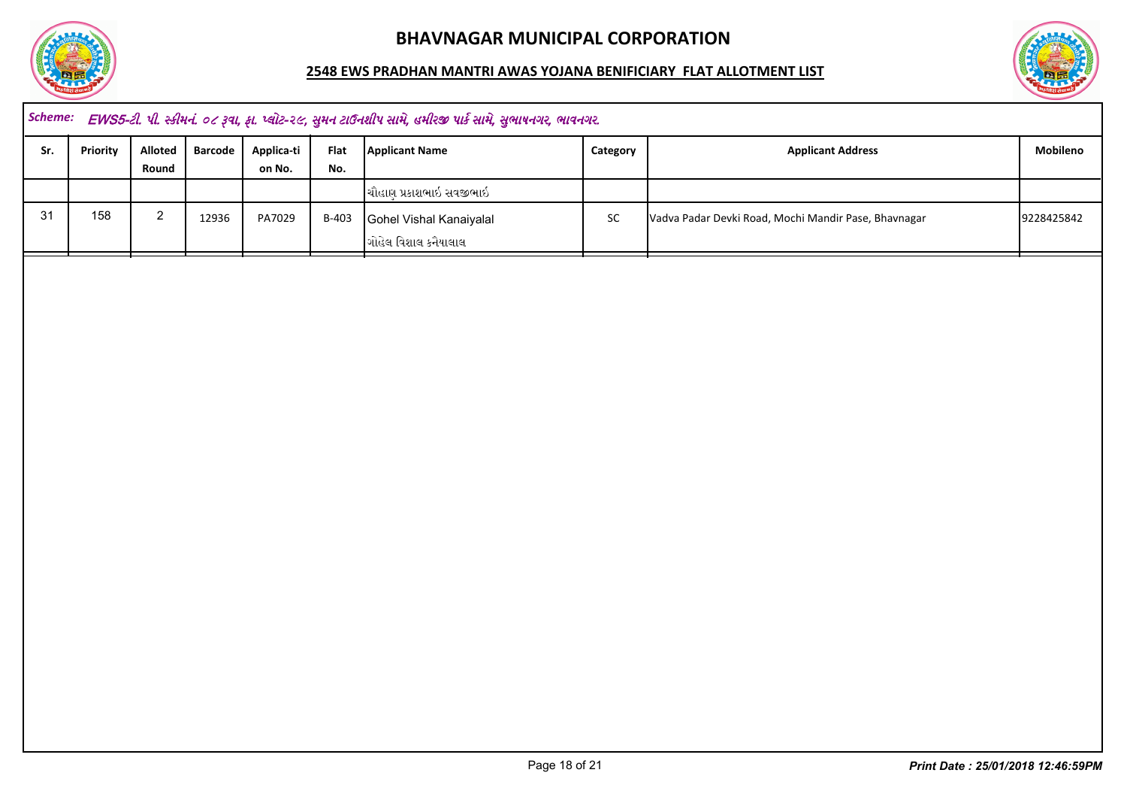

# **BHAVNAGAR MUNICIPAL CORPORATION**

### **2548 EWS PRADHAN MANTRI AWAS YOJANA BENIFICIARY FLAT ALLOTMENT LIST**



#### *Scheme:*  EWS5-ટી. પી. સ્કીમનં. ૦૮ રૂવા, ફા. પ્લોટ-૨૯, સુમન ટાઉનશીપ સામે, હમીરજી પાર્ક સામે, સુભાષનગર, ભાવનગર.

| Sr. | Priority | Alloted<br>Round | Barcode | Applica-ti<br>on No. | <b>Flat</b><br>No. | <b>Applicant Name</b>                           | Category | <b>Applicant Address</b>                             | Mobileno   |
|-----|----------|------------------|---------|----------------------|--------------------|-------------------------------------------------|----------|------------------------------------------------------|------------|
|     |          |                  |         |                      |                    | ચૌહાણ પ્રકાશભાઇ સવજીભાઇ                         |          |                                                      |            |
| -31 | 158      |                  | 12936   | PA7029               | B-403              | Gohel Vishal Kanaiyalal<br>ગોહેલ વિશાલ કનૈયાલાલ | SC       | Vadva Padar Devki Road, Mochi Mandir Pase, Bhavnagar | 9228425842 |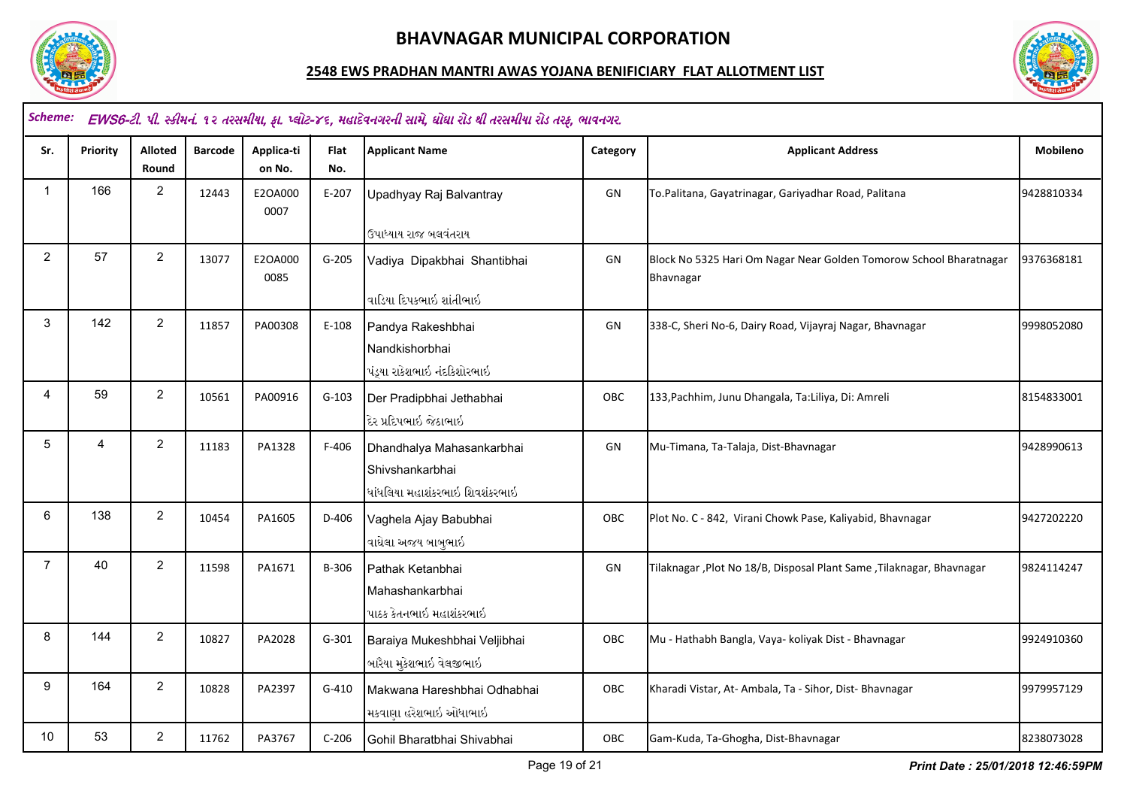



#### Barcode | Applica-ti | Flat |Applicant Name Category | Applicant Address Mobileno **No. Applica-ti on No.** *Scheme:*  **Sr.** EWS6-ટી. પી. સ્કીમનં. ૧૨ તરસમીયા, ફા. પ્લોટ-૪૬, મહાદેવનગરની સામે, ઘોઘા રોડ થી તરસમીયા રોડ તરફ, ભાવનગર. **Alloted Round Priority** 12443 E2OA000 0007 1 | 166 | 2 | 12443 | E2OA000 | E-207 | Upadhyay Raj Balvantray | GN | To.Palitana, Gayatrinagar, Gariyadhar Road, Palitana | 9428810334 ઉપાધ્યાય રાજ બલવંતરાય 13077 E2OA000 0085 2 | 57 | 2 | 13077 | E2OA000 | G-205 | Vadiya Dipakbhai Shantibhai | GN | Block No 5325 Hari Om Nagar Near Golden Tomorow School Bharatnagar | 9376368181 Bhavnagar વાડિયા દિપકભાઈ શાંતીભાઈ 11857 PA00308 E-108 Pandya Rakeshbhai GN Nandkishorbhai 3 142 2 11857 PA00308 E-108 Pandya Rakeshbhai 6N 338-C, Sheri No-6, Dairy Road, Vijayraj Nagar, Bhavnagar 9998052080 પંડયા રાકેશભાઇ નંદકિશોરભાઇ 4 | 59 | 2 | 10561 | PA00916 | G-103 | Der Pradipbhai Jethabhai | OBC | 133, Pachhim, Junu Dhangala, Ta:Liliya, Di: Amreli | 8154833001 દેર પ્રદિપભાઇ જેઠાભાઇ 11183 PA1328 F-406 Dhandhalya Mahasankarbhai GN **Shivshankarbhai** 5 4 | 2 | 11183 | PA1328 | F-406 | Dhandhalva Mahasankarbhai GN | Mu-Timana, Ta-Talaja, Dist-Bhavnagar | 9428990613 ધાંધલિયા મહાશંકરભાઇ શિવશંકરભાઇ 6 138 2 10454 PA1605 D-406 Vaghela Ajay Babubhai 0BC Plot No. C - 842, Virani Chowk Pase, Kaliyabid, Bhavnagar 9427202220 વાઘેલા અજય બાબુભાઇ 11598 PA1671 B-306 Pathak Ketanbhai GN Mahashankarbhai 7 40 2 11598 PA1671 B-306 Pathak Ketanbhai 6N GN Tilaknagar ,Plot No 18/B, Disposal Plant Same ,Tilaknagar, Bhavnagar 9824114247 પાઠક કેતનભાઈ મહાશંકરભાઈ 8 | 144 | 2 | 10827 | PA2028 | G-301 | Baraiya Mukeshbhai Veljibhai | OBC | Mu - Hathabh Bangla, Vaya- koliyak Dist - Bhavnagar | 9924910360 બારૈયા મકેશભાઇ વેલજીભાઇ 9 164 2 10828 PA2397 G-410 Makwana Hareshbhai Odhabhai 0BC Kharadi Vistar, At- Ambala, Ta - Sihor, Dist- Bhavnagar 9979957129 મકવાણા હરેશભાઇ ઓધાભાઇ 10 | 53 | 2 | 11762 | PA3767 | C-206 | Gohil Bharatbhai Shivabhai OBC | Gam-Kuda, Ta-Ghogha, Dist-Bhavnagar | 8238073028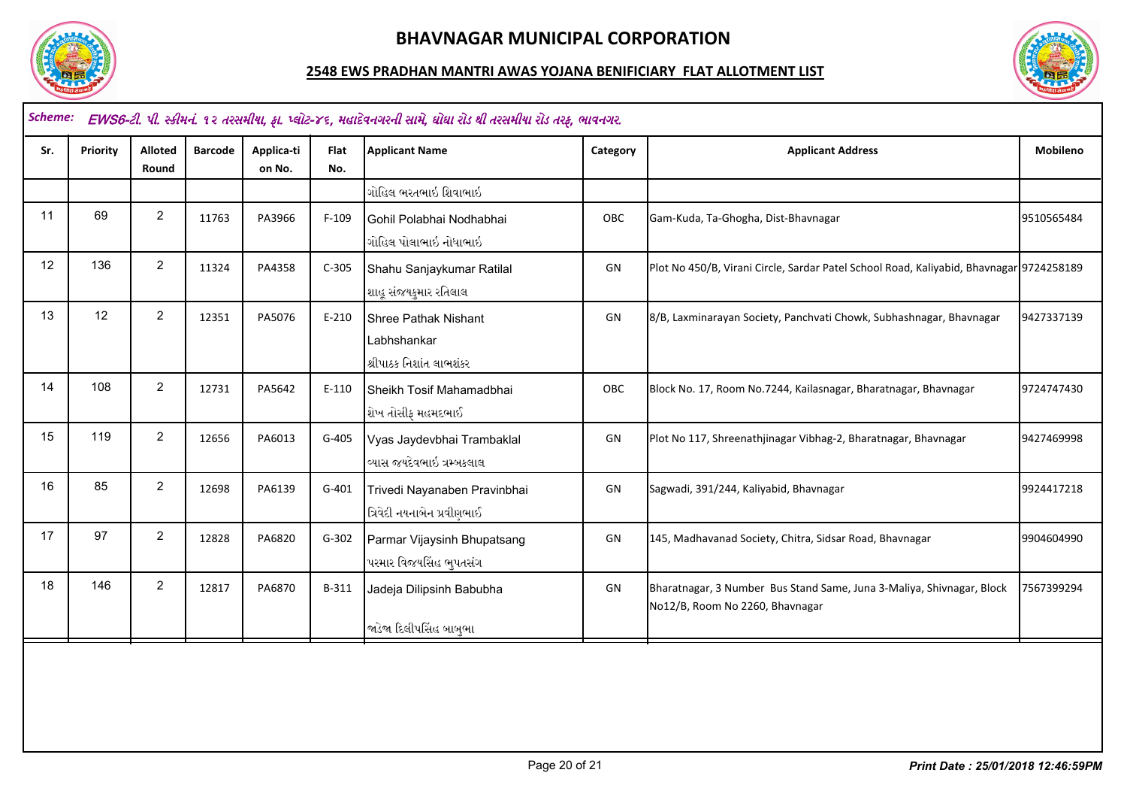



## Barcode | Applica-ti | Flat |Applicant Name Category | Applicant Address Mobileno **No. Applica-ti on No.** *Scheme:*  **Sr.** EWS6-ટી. પી. સ્કીમનં. ૧૨ તરસમીયા, ફા. પ્લોટ-૪૬, મહાદેવનગરની સામે, ઘોઘા રોડ થી તરસમીયા રોડ તરફ, ભાવનગર. **Alloted Round Priority** .<br>ગોહિલ ભરતભાઇ શિવાભાઇ 11 | 69 | 2 | 11763 | PA3966 | F-109 Gohil Polabhai Nodhabhai | OBC Gam-Kuda, Ta-Ghogha, Dist-Bhavnagar | 9510565484 ગોહિલ પોલાભાઇ નોધાભાઇ 12 | 136 | 2 | 11324 | PA4358 | C-305 | Shahu Sanjaykumar Ratilal GN | Plot No 450/B, Virani Circle, Sardar Patel School Road, Kaliyabid, Bhavnagar 9724258189 શાહુ સંજયકુમાર રતિલાલ 12351 PA5076 E-210 Shree Pathak Nishant GN Labhshankar 13 | 12 | 2 | 12351 | PA5076 | E-210 | Shree Pathak Nishant | GN | 8/B, Laxminarayan Society, Panchvati Chowk, Subhashnagar, Bhavnagar | 9427337139 શ્રીપાઠક નિશાંત લાભશંકર 14 | 108 | 2 | 12731 | PA5642 | E-110 | Sheikh Tosif Mahamadbhai | OBC | Block No. 17, Room No. 7244, Kailasnagar, Bharatnagar, Bhavnagar | 9724747430 શિખ તોસીફ મહમદભાઈ 15 | 119 | 2 | 12656 | PA6013 | G-405 | Vyas Jaydevbhai Trambaklal MGN | GN | Plot No 117, Shreenathjinagar Vibhag-2, Bharatnagar, Bhavnagar | 9427469998 વ્યાસ જયદેવભાઇ ત્રમ્બકલાલ 16 | 85 | 2 | 12698 | PA6139 | G-401 | Trivedi Nayanaben Pravinbhai | GN | Sagwadi, 391/244, Kaliyabid, Bhavnagar | 9924417218 ત્રિવેદી નયનાબેન પ્રવીણભાઈ 17 97 | 2 | 12828 | PA6820 | G-302 | Parmar Vijaysinh Bhupatsang | GN | 145, Madhavanad Society, Chitra, Sidsar Road, Bhavnagar | 9904604990 પરમાર વિજયસિંહ ભુપતસંગ 18 | 146 | 2 | 12817 | PA6870 | B-311 |Jadeja Dilipsinh Babubha | GN |Bharatnagar, 3 Number Bus Stand Same, Juna 3-Maliya, Shivnagar, Block | 7567399294 No12/B, Room No 2260, Bhavnagar જાડેજા દિલીપસિંહ બાબુભા